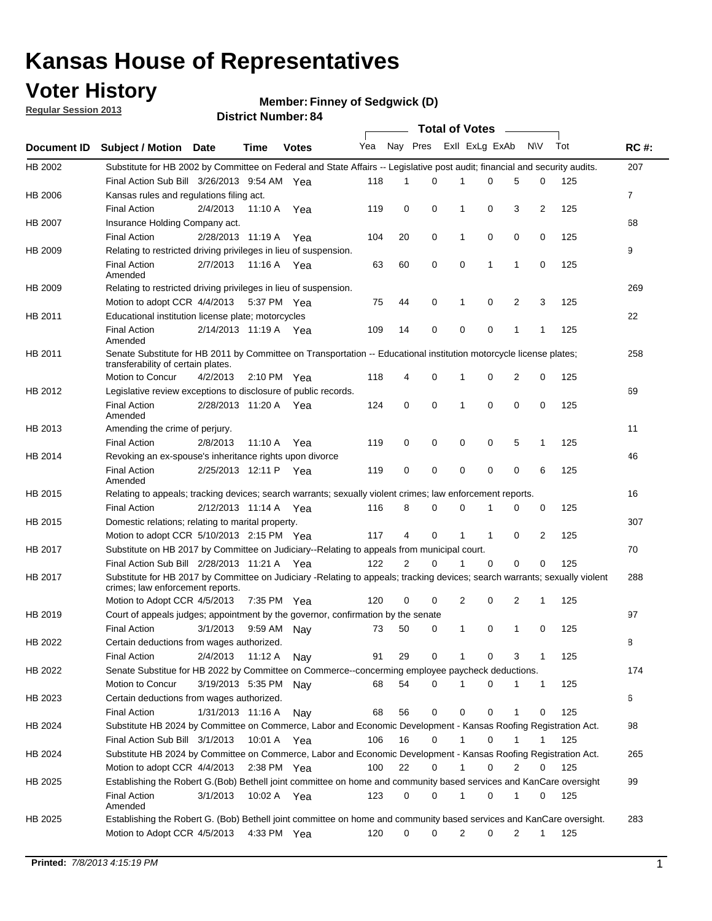## **Voter History**

**Member: Finney of Sedgwick (D)** 

**Regular Session 2013**

|             |                                                                                                                                                                |                       | ט וסטוווער ואווואסו   |              |                             |    | <b>Total of Votes</b> |                |              |                |                |     |                |
|-------------|----------------------------------------------------------------------------------------------------------------------------------------------------------------|-----------------------|-----------------------|--------------|-----------------------------|----|-----------------------|----------------|--------------|----------------|----------------|-----|----------------|
| Document ID | <b>Subject / Motion Date</b>                                                                                                                                   |                       | <b>Time</b>           | <b>Votes</b> | Yea Nay Pres ExII ExLg ExAb |    |                       |                |              |                | N\V            | Tot | <b>RC#:</b>    |
| HB 2002     | Substitute for HB 2002 by Committee on Federal and State Affairs -- Legislative post audit; financial and security audits.                                     |                       |                       |              |                             |    |                       |                |              |                |                |     | 207            |
|             | Final Action Sub Bill 3/26/2013 9:54 AM Yea                                                                                                                    |                       |                       |              | 118                         | 1  | 0                     |                | 0            | 5              | 0              | 125 |                |
| HB 2006     | Kansas rules and regulations filing act.                                                                                                                       |                       |                       |              |                             |    |                       |                |              |                |                |     | $\overline{7}$ |
|             | <b>Final Action</b>                                                                                                                                            | 2/4/2013              | 11:10 A Yea           |              | 119                         | 0  | 0                     | 1              | 0            | 3              | $\overline{2}$ | 125 |                |
| HB 2007     | Insurance Holding Company act.                                                                                                                                 |                       |                       |              |                             |    |                       |                |              |                |                |     | 68             |
|             | <b>Final Action</b>                                                                                                                                            | 2/28/2013 11:19 A     |                       | Yea          | 104                         | 20 | 0                     | 1              | 0            | 0              | 0              | 125 |                |
| HB 2009     | Relating to restricted driving privileges in lieu of suspension.                                                                                               |                       |                       |              |                             |    |                       |                |              |                |                |     | 9              |
|             | <b>Final Action</b><br>Amended                                                                                                                                 | 2/7/2013              | 11:16 A Yea           |              | 63                          | 60 | 0                     | 0              | 1            | 1              | 0              | 125 |                |
| HB 2009     | Relating to restricted driving privileges in lieu of suspension.                                                                                               |                       |                       |              |                             |    |                       |                |              |                |                |     | 269            |
|             | Motion to adopt CCR 4/4/2013                                                                                                                                   |                       | 5:37 PM Yea           |              | 75                          | 44 | 0                     | 1              | 0            | 2              | 3              | 125 |                |
| HB 2011     | Educational institution license plate; motorcycles                                                                                                             |                       |                       |              |                             |    |                       |                |              |                |                |     | 22             |
|             | <b>Final Action</b><br>Amended                                                                                                                                 | 2/14/2013 11:19 A Yea |                       |              | 109                         | 14 | 0                     | 0              | 0            | 1              | 1              | 125 |                |
| HB 2011     | Senate Substitute for HB 2011 by Committee on Transportation -- Educational institution motorcycle license plates;<br>transferability of certain plates.       |                       |                       |              |                             |    |                       |                |              |                |                |     | 258            |
|             | Motion to Concur                                                                                                                                               | 4/2/2013              | $2:10 \text{ PM}$ Yea |              | 118                         | 4  | 0                     | 1              | 0            | $\overline{2}$ | 0              | 125 |                |
| HB 2012     | Legislative review exceptions to disclosure of public records.                                                                                                 |                       |                       |              |                             |    |                       |                |              |                |                |     | 69             |
|             | <b>Final Action</b><br>Amended                                                                                                                                 | 2/28/2013 11:20 A Yea |                       |              | 124                         | 0  | 0                     | 1              | 0            | 0              | 0              | 125 |                |
| HB 2013     | Amending the crime of perjury.                                                                                                                                 |                       |                       |              |                             |    |                       |                |              |                |                |     | 11             |
|             | <b>Final Action</b>                                                                                                                                            | 2/8/2013              | 11:10 A               | Yea          | 119                         | 0  | 0                     | 0              | 0            | 5              | 1              | 125 |                |
| HB 2014     | Revoking an ex-spouse's inheritance rights upon divorce                                                                                                        |                       |                       |              |                             |    |                       |                |              |                |                |     | 46             |
|             | <b>Final Action</b><br>Amended                                                                                                                                 | 2/25/2013 12:11 P     |                       | Yea          | 119                         | 0  | 0                     | 0              | 0            | $\mathbf 0$    | 6              | 125 |                |
| HB 2015     | Relating to appeals; tracking devices; search warrants; sexually violent crimes; law enforcement reports.                                                      |                       |                       |              |                             |    |                       |                |              |                |                |     | 16             |
|             | <b>Final Action</b>                                                                                                                                            | 2/12/2013 11:14 A Yea |                       |              | 116                         | 8  | 0                     | 0              | 1            | 0              | 0              | 125 |                |
| HB 2015     | Domestic relations; relating to marital property.                                                                                                              |                       |                       |              |                             |    |                       |                |              |                |                |     | 307            |
|             | Motion to adopt CCR 5/10/2013 2:15 PM Yea                                                                                                                      |                       |                       |              | 117                         | 4  | 0                     | $\mathbf{1}$   | $\mathbf{1}$ | 0              | $\overline{2}$ | 125 |                |
| HB 2017     | Substitute on HB 2017 by Committee on Judiciary--Relating to appeals from municipal court.                                                                     |                       |                       |              |                             |    |                       |                |              |                |                |     | 70             |
|             | Final Action Sub Bill 2/28/2013 11:21 A Yea                                                                                                                    |                       |                       |              | 122                         | 2  | 0                     | 1              | 0            | 0              | 0              | 125 |                |
| HB 2017     | Substitute for HB 2017 by Committee on Judiciary -Relating to appeals; tracking devices; search warrants; sexually violent<br>crimes; law enforcement reports. |                       |                       |              |                             |    |                       |                |              |                |                |     | 288            |
|             | Motion to Adopt CCR 4/5/2013                                                                                                                                   |                       | 7:35 PM Yea           |              | 120                         | 0  | 0                     | $\overline{2}$ | 0            | 2              | 1              | 125 |                |
| HB 2019     | Court of appeals judges; appointment by the governor, confirmation by the senate                                                                               |                       |                       |              |                             |    |                       |                |              |                |                |     | 97             |
|             | <b>Final Action</b>                                                                                                                                            | 3/1/2013              | 9:59 AM Nay           |              | 73                          | 50 | 0                     | $\mathbf{1}$   | 0            | 1              | 0              | 125 |                |
| HB 2022     | Certain deductions from wages authorized.                                                                                                                      |                       |                       |              |                             |    |                       |                |              |                |                |     | 8              |
|             | <b>Final Action</b>                                                                                                                                            | 2/4/2013              | 11:12 A               | Nay          | 91                          | 29 | 0                     |                | 0            | 3              | 1              | 125 |                |
| HB 2022     | Senate Substitue for HB 2022 by Committee on Commerce--concerming employee paycheck deductions.                                                                |                       |                       |              |                             |    |                       |                |              |                |                |     | 174            |
|             | Motion to Concur                                                                                                                                               | 3/19/2013 5:35 PM Nav |                       |              | 68                          | 54 | 0                     | 1              | 0            | 1              | $\mathbf{1}$   | 125 |                |
| HB 2023     | Certain deductions from wages authorized.                                                                                                                      |                       |                       |              |                             |    |                       |                |              |                |                |     | 6              |
|             | <b>Final Action</b>                                                                                                                                            | 1/31/2013 11:16 A     |                       | Nav          | 68                          | 56 | 0                     | 0              | 0            | 1              | 0              | 125 |                |
| HB 2024     | Substitute HB 2024 by Committee on Commerce, Labor and Economic Development - Kansas Roofing Registration Act.                                                 |                       |                       |              |                             |    |                       |                |              |                |                |     | 98             |
|             | Final Action Sub Bill 3/1/2013                                                                                                                                 |                       | 10:01 A Yea           |              | 106                         | 16 | 0                     | $\mathbf{1}$   | 0            | 1              | 1              | 125 |                |
| HB 2024     | Substitute HB 2024 by Committee on Commerce, Labor and Economic Development - Kansas Roofing Registration Act.                                                 |                       |                       |              |                             |    |                       |                |              |                |                |     | 265            |
|             | Motion to adopt CCR 4/4/2013                                                                                                                                   |                       | 2:38 PM Yea           |              | 100                         | 22 | 0                     | $\mathbf{1}$   | 0            | 2              | 0              | 125 |                |
| HB 2025     | Establishing the Robert G.(Bob) Bethell joint committee on home and community based services and KanCare oversight                                             |                       |                       |              |                             |    |                       |                |              |                |                |     | 99             |
|             | <b>Final Action</b><br>Amended                                                                                                                                 | 3/1/2013              | 10:02 A Yea           |              | 123                         | 0  | 0                     | 1              | 0            | 1              | 0              | 125 |                |
| HB 2025     | Establishing the Robert G. (Bob) Bethell joint committee on home and community based services and KanCare oversight.                                           |                       |                       |              |                             |    |                       |                |              |                |                |     | 283            |
|             | Motion to Adopt CCR 4/5/2013                                                                                                                                   |                       | 4:33 PM Yea           |              | 120                         | 0  | 0                     | $\overline{2}$ | 0            | $\overline{2}$ | 1              | 125 |                |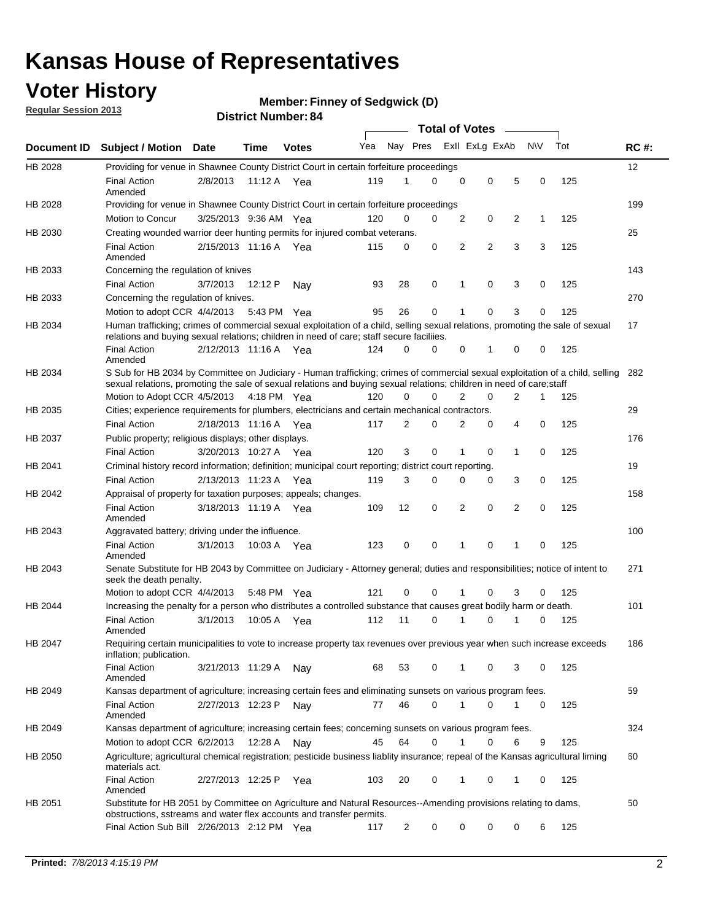## **Voter History**

**Member: Finney of Sedgwick (D)** 

**Regular Session 2013**

|                    |                                                                                                                                                                                                                                                       |                       |         |              |     |                         | <b>Total of Votes</b> |                |   |                |           |     |             |
|--------------------|-------------------------------------------------------------------------------------------------------------------------------------------------------------------------------------------------------------------------------------------------------|-----------------------|---------|--------------|-----|-------------------------|-----------------------|----------------|---|----------------|-----------|-----|-------------|
| <b>Document ID</b> | <b>Subject / Motion Date</b>                                                                                                                                                                                                                          |                       | Time    | <b>Votes</b> | Yea | Nay Pres Exll ExLg ExAb |                       |                |   |                | <b>NV</b> | Tot | <b>RC#:</b> |
| HB 2028            | Providing for venue in Shawnee County District Court in certain forfeiture proceedings                                                                                                                                                                |                       |         |              |     |                         |                       |                |   |                |           |     | 12          |
|                    | <b>Final Action</b><br>Amended                                                                                                                                                                                                                        | 2/8/2013              | 11:12 A | Yea          | 119 | 1                       | 0                     | 0              | 0 | 5              | 0         | 125 |             |
| HB 2028            | Providing for venue in Shawnee County District Court in certain forfeiture proceedings                                                                                                                                                                |                       |         |              |     |                         |                       |                |   |                |           |     | 199         |
|                    | Motion to Concur                                                                                                                                                                                                                                      | 3/25/2013 9:36 AM Yea |         |              | 120 | 0                       | 0                     | 2              | 0 | 2              | 1         | 125 |             |
| HB 2030            | Creating wounded warrior deer hunting permits for injured combat veterans.                                                                                                                                                                            |                       |         |              |     |                         |                       |                |   |                |           |     | 25          |
|                    | <b>Final Action</b><br>Amended                                                                                                                                                                                                                        | 2/15/2013 11:16 A     |         | Yea          | 115 | 0                       | 0                     | 2              | 2 | 3              | 3         | 125 |             |
| HB 2033            | Concerning the regulation of knives                                                                                                                                                                                                                   |                       |         |              |     |                         |                       |                |   |                |           |     | 143         |
|                    | <b>Final Action</b>                                                                                                                                                                                                                                   | 3/7/2013              | 12:12 P | Nav          | 93  | 28                      | 0                     | 1              | 0 | 3              | 0         | 125 |             |
| HB 2033            | Concerning the regulation of knives.                                                                                                                                                                                                                  |                       |         |              |     |                         |                       |                |   |                |           |     | 270         |
|                    | Motion to adopt CCR 4/4/2013                                                                                                                                                                                                                          |                       |         | 5:43 PM Yea  | 95  | 26                      | 0                     |                | 0 | 3              | 0         | 125 |             |
| HB 2034            | Human trafficking; crimes of commercial sexual exploitation of a child, selling sexual relations, promoting the sale of sexual<br>relations and buying sexual relations; children in need of care; staff secure faciliies.                            |                       |         |              |     |                         |                       |                |   |                |           |     | 17          |
|                    | <b>Final Action</b><br>Amended                                                                                                                                                                                                                        | 2/12/2013 11:16 A Yea |         |              | 124 | 0                       | 0                     | 0              | 1 | 0              | 0         | 125 |             |
| HB 2034            | S Sub for HB 2034 by Committee on Judiciary - Human trafficking; crimes of commercial sexual exploitation of a child, selling<br>sexual relations, promoting the sale of sexual relations and buying sexual relations; children in need of care;staff |                       |         |              |     |                         |                       |                |   |                |           |     | 282         |
|                    | Motion to Adopt CCR 4/5/2013 4:18 PM Yea                                                                                                                                                                                                              |                       |         |              | 120 | 0                       | 0                     | $\overline{2}$ | 0 | $\overline{2}$ | 1         | 125 |             |
| HB 2035            | Cities; experience requirements for plumbers, electricians and certain mechanical contractors.                                                                                                                                                        |                       |         |              |     |                         |                       |                |   |                |           |     | 29          |
|                    | <b>Final Action</b>                                                                                                                                                                                                                                   | 2/18/2013 11:16 A     |         | Yea          | 117 | 2                       | 0                     | 2              | 0 | 4              | 0         | 125 |             |
| HB 2037            | Public property; religious displays; other displays.                                                                                                                                                                                                  |                       |         |              |     |                         |                       |                |   |                |           |     | 176         |
|                    | <b>Final Action</b>                                                                                                                                                                                                                                   | 3/20/2013 10:27 A     |         | Yea          | 120 | 3                       | 0                     |                | 0 | 1              | 0         | 125 |             |
| HB 2041            | Criminal history record information; definition; municipal court reporting; district court reporting.                                                                                                                                                 |                       |         |              |     |                         |                       |                |   |                |           |     | 19          |
|                    | <b>Final Action</b>                                                                                                                                                                                                                                   | 2/13/2013 11:23 A     |         | Yea          | 119 | 3                       | 0                     | 0              | 0 | 3              | 0         | 125 |             |
| HB 2042            | Appraisal of property for taxation purposes; appeals; changes.                                                                                                                                                                                        |                       |         |              |     |                         |                       |                |   |                |           |     | 158         |
|                    | <b>Final Action</b><br>Amended                                                                                                                                                                                                                        | 3/18/2013 11:19 A Yea |         |              | 109 | 12                      | 0                     | 2              | 0 | 2              | 0         | 125 |             |
| HB 2043            | Aggravated battery; driving under the influence.                                                                                                                                                                                                      |                       |         |              |     |                         |                       |                |   |                |           |     | 100         |
|                    | <b>Final Action</b><br>Amended                                                                                                                                                                                                                        | 3/1/2013              |         | 10:03 A Yea  | 123 | 0                       | 0                     | 1              | 0 | 1              | 0         | 125 |             |
| HB 2043            | Senate Substitute for HB 2043 by Committee on Judiciary - Attorney general; duties and responsibilities; notice of intent to<br>seek the death penalty.                                                                                               |                       |         |              |     |                         |                       |                |   |                |           |     | 271         |
|                    | Motion to adopt CCR 4/4/2013                                                                                                                                                                                                                          |                       |         | 5:48 PM Yea  | 121 | 0                       | 0                     | 1              | 0 | 3              | 0         | 125 |             |
| HB 2044            | Increasing the penalty for a person who distributes a controlled substance that causes great bodily harm or death.                                                                                                                                    |                       |         |              |     |                         |                       |                |   |                |           |     | 101         |
|                    | <b>Final Action</b><br>Amended                                                                                                                                                                                                                        | 3/1/2013              | 10:05 A | Yea          | 112 | 11                      | 0                     | 1              | 0 | 1              | 0         | 125 |             |
| HB 2047            | Requiring certain municipalities to vote to increase property tax revenues over previous year when such increase exceeds<br>inflation; publication.                                                                                                   |                       |         |              |     |                         |                       |                |   |                |           |     | 186         |
|                    | <b>Final Action</b><br>Amended                                                                                                                                                                                                                        | 3/21/2013 11:29 A     |         | Nav          | 68  | 53                      | 0                     | 1              | 0 | 3              | 0         | 125 |             |
| HB 2049            | Kansas department of agriculture; increasing certain fees and eliminating sunsets on various program fees.                                                                                                                                            |                       |         |              |     |                         |                       |                |   |                |           |     | 59          |
|                    | <b>Final Action</b><br>Amended                                                                                                                                                                                                                        | 2/27/2013 12:23 P     |         | Nay          | 77  | 46                      | 0                     | 1              | 0 |                | 0         | 125 |             |
| HB 2049            | Kansas department of agriculture; increasing certain fees; concerning sunsets on various program fees.                                                                                                                                                |                       |         |              |     |                         |                       |                |   |                |           |     | 324         |
|                    | Motion to adopt CCR 6/2/2013                                                                                                                                                                                                                          |                       | 12:28 A | Nay          | 45  | 64                      | 0                     | 1              | 0 | 6              | 9         | 125 |             |
| HB 2050            | Agriculture; agricultural chemical registration; pesticide business liablity insurance; repeal of the Kansas agricultural liming<br>materials act.                                                                                                    |                       |         |              |     |                         |                       |                |   |                |           |     | 60          |
|                    | <b>Final Action</b><br>Amended                                                                                                                                                                                                                        | 2/27/2013 12:25 P     |         | Yea          | 103 | 20                      | 0                     |                | 0 | 1              | 0         | 125 |             |
| HB 2051            | Substitute for HB 2051 by Committee on Agriculture and Natural Resources--Amending provisions relating to dams,<br>obstructions, sstreams and water flex accounts and transfer permits.                                                               |                       |         |              |     |                         |                       |                |   |                |           |     | 50          |
|                    | Final Action Sub Bill 2/26/2013 2:12 PM Yea                                                                                                                                                                                                           |                       |         |              | 117 | $\overline{c}$          | 0                     | 0              | 0 | 0              | 6         | 125 |             |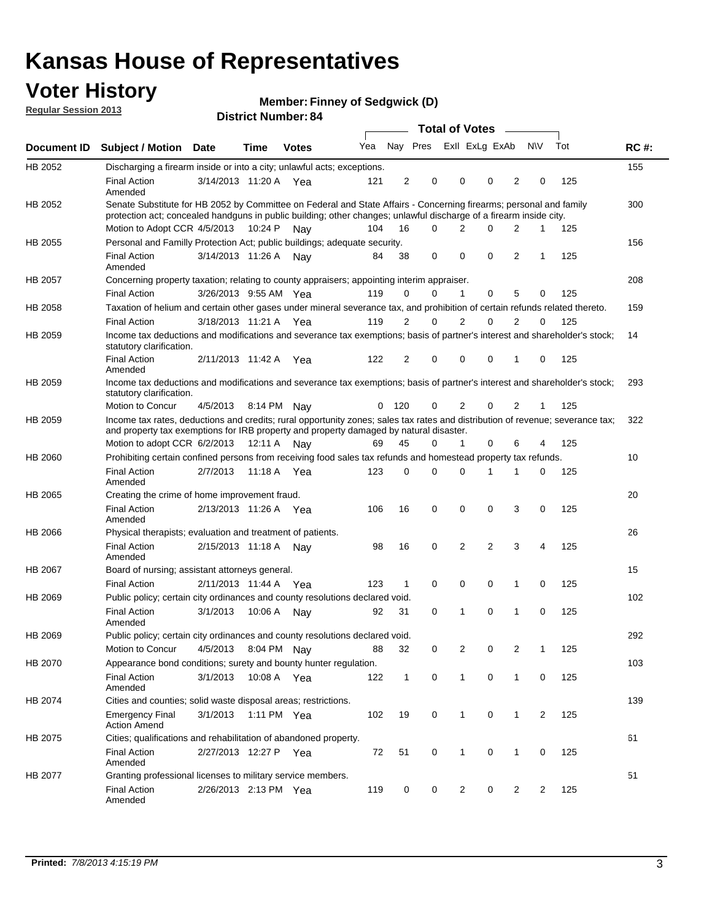## **Voter History**

**Member: Finney of Sedgwick (D)** 

**Regular Session 2013**

|                |                                                                                                                                                                                                                                          |                       |             |              |     |                |                         | <b>Total of Votes</b> | $\sim$      |                |     |     |             |
|----------------|------------------------------------------------------------------------------------------------------------------------------------------------------------------------------------------------------------------------------------------|-----------------------|-------------|--------------|-----|----------------|-------------------------|-----------------------|-------------|----------------|-----|-----|-------------|
| Document ID    | <b>Subject / Motion</b>                                                                                                                                                                                                                  | Date                  | <b>Time</b> | <b>Votes</b> | Yea |                | Nay Pres Exll ExLg ExAb |                       |             |                | N\V | Tot | <b>RC#:</b> |
| HB 2052        | Discharging a firearm inside or into a city; unlawful acts; exceptions.                                                                                                                                                                  |                       |             |              |     |                |                         |                       |             |                |     |     | 155         |
|                | <b>Final Action</b><br>Amended                                                                                                                                                                                                           | 3/14/2013 11:20 A Yea |             |              | 121 | 2              | 0                       | 0                     | $\Omega$    | $\overline{2}$ | 0   | 125 |             |
| HB 2052        | Senate Substitute for HB 2052 by Committee on Federal and State Affairs - Concerning firearms; personal and family<br>protection act; concealed handguns in public building; other changes; unlawful discharge of a firearm inside city. |                       |             |              |     |                |                         |                       |             |                |     |     | 300         |
|                | Motion to Adopt CCR 4/5/2013                                                                                                                                                                                                             |                       | 10:24 P     | Nav          | 104 | 16             | 0                       | 2                     | $\Omega$    | 2              | 1   | 125 |             |
| HB 2055        | Personal and Familly Protection Act; public buildings; adequate security.                                                                                                                                                                |                       |             |              |     |                |                         |                       |             |                |     |     | 156         |
|                | <b>Final Action</b><br>Amended                                                                                                                                                                                                           | 3/14/2013 11:26 A     |             | Nav          | 84  | 38             | 0                       | 0                     | $\mathbf 0$ | 2              | 1   | 125 |             |
| <b>HB 2057</b> | Concerning property taxation; relating to county appraisers; appointing interim appraiser.                                                                                                                                               |                       |             |              |     |                |                         |                       |             |                |     |     | 208         |
|                | <b>Final Action</b>                                                                                                                                                                                                                      | 3/26/2013 9:55 AM Yea |             |              | 119 | 0              | 0                       | 1                     | 0           | 5              | 0   | 125 |             |
| HB 2058        | Taxation of helium and certain other gases under mineral severance tax, and prohibition of certain refunds related thereto.                                                                                                              |                       |             |              |     |                |                         |                       |             |                |     |     | 159         |
|                | <b>Final Action</b>                                                                                                                                                                                                                      | 3/18/2013 11:21 A Yea |             |              | 119 | 2              | 0                       | $\overline{2}$        | $\Omega$    | $\overline{2}$ | 0   | 125 |             |
| HB 2059        | Income tax deductions and modifications and severance tax exemptions; basis of partner's interest and shareholder's stock;<br>statutory clarification.                                                                                   |                       |             |              |     |                |                         |                       |             |                |     |     | 14          |
|                | <b>Final Action</b><br>Amended                                                                                                                                                                                                           | 2/11/2013 11:42 A     |             | Yea          | 122 | $\overline{2}$ | 0                       | 0                     | 0           | $\mathbf{1}$   | 0   | 125 |             |
| HB 2059        | Income tax deductions and modifications and severance tax exemptions; basis of partner's interest and shareholder's stock;<br>statutory clarification.                                                                                   |                       |             |              |     |                |                         |                       |             |                |     |     | 293         |
|                | Motion to Concur                                                                                                                                                                                                                         | 4/5/2013              |             | 8:14 PM Nav  | 0   | 120            | 0                       | 2                     | 0           | $\overline{2}$ | 1   | 125 |             |
| HB 2059        | Income tax rates, deductions and credits; rural opportunity zones; sales tax rates and distribution of revenue; severance tax;<br>and property tax exemptions for IRB property and property damaged by natural disaster.                 |                       |             |              |     |                |                         |                       |             |                |     |     | 322         |
|                | Motion to adopt CCR 6/2/2013                                                                                                                                                                                                             |                       | 12:11 A     | Nav          | 69  | 45             | 0                       | 1                     | 0           | 6              | 4   | 125 |             |
| <b>HB 2060</b> | Prohibiting certain confined persons from receiving food sales tax refunds and homestead property tax refunds.                                                                                                                           |                       |             |              |     |                |                         |                       |             |                |     |     | 10          |
|                | <b>Final Action</b><br>Amended                                                                                                                                                                                                           | 2/7/2013              | 11:18 A     | Yea          | 123 | 0              | 0                       | $\Omega$              | 1           | 1              | 0   | 125 |             |
| HB 2065        | Creating the crime of home improvement fraud.                                                                                                                                                                                            |                       |             |              |     |                |                         |                       |             |                |     |     | 20          |
|                | <b>Final Action</b><br>Amended                                                                                                                                                                                                           | 2/13/2013 11:26 A Yea |             |              | 106 | 16             | 0                       | 0                     | 0           | 3              | 0   | 125 |             |
| HB 2066        | Physical therapists; evaluation and treatment of patients.                                                                                                                                                                               |                       |             |              |     |                |                         |                       |             |                |     |     | 26          |
|                | <b>Final Action</b><br>Amended                                                                                                                                                                                                           | 2/15/2013 11:18 A     |             | Nav          | 98  | 16             | 0                       | $\overline{2}$        | 2           | 3              | 4   | 125 |             |
| <b>HB 2067</b> | Board of nursing; assistant attorneys general.                                                                                                                                                                                           |                       |             |              |     |                |                         |                       |             |                |     |     | 15          |
|                | <b>Final Action</b>                                                                                                                                                                                                                      | 2/11/2013 11:44 A     |             | Yea          | 123 | $\mathbf{1}$   | 0                       | 0                     | 0           | $\mathbf{1}$   | 0   | 125 |             |
| HB 2069        | Public policy; certain city ordinances and county resolutions declared void.                                                                                                                                                             |                       |             |              |     |                |                         |                       |             |                |     |     | 102         |
|                | <b>Final Action</b><br>Amended                                                                                                                                                                                                           | 3/1/2013              | 10:06 A     | Nav          | 92  | 31             | 0                       | 1                     | 0           | $\mathbf{1}$   | 0   | 125 |             |
| HB 2069        | Public policy; certain city ordinances and county resolutions declared void.                                                                                                                                                             |                       |             |              |     |                |                         |                       |             |                |     |     | 292         |
|                | Motion to Concur                                                                                                                                                                                                                         | 4/5/2013              |             | 8:04 PM Nay  | 88  | 32             | 0                       | 2                     | 0           | 2              | 1   | 125 |             |
| HB 2070        | Appearance bond conditions; surety and bounty hunter regulation.                                                                                                                                                                         |                       |             |              |     |                |                         |                       |             |                |     |     | 103         |
|                | <b>Final Action</b><br>Amended                                                                                                                                                                                                           | 3/1/2013              | 10:08 A Yea |              | 122 | $\mathbf{1}$   | 0                       | $\mathbf{1}$          | $\mathbf 0$ | $\mathbf{1}$   | 0   | 125 |             |
| HB 2074        | Cities and counties; solid waste disposal areas; restrictions.                                                                                                                                                                           |                       |             |              |     |                |                         |                       |             |                |     |     | 139         |
|                | <b>Emergency Final</b><br><b>Action Amend</b>                                                                                                                                                                                            | 3/1/2013              |             | 1:11 PM Yea  | 102 | 19             | 0                       | 1                     | 0           | $\mathbf{1}$   | 2   | 125 |             |
| HB 2075        | Cities; qualifications and rehabilitation of abandoned property.                                                                                                                                                                         |                       |             |              |     |                |                         |                       |             |                |     |     | 61          |
|                | <b>Final Action</b><br>Amended                                                                                                                                                                                                           | 2/27/2013 12:27 P Yea |             |              | 72  | 51             | 0                       | 1                     | 0           | 1              | 0   | 125 |             |
| HB 2077        | Granting professional licenses to military service members.                                                                                                                                                                              |                       |             |              |     |                |                         |                       |             |                |     |     | 51          |
|                | <b>Final Action</b><br>Amended                                                                                                                                                                                                           | 2/26/2013 2:13 PM Yea |             |              | 119 | 0              | 0                       | 2                     | 0           | 2              | 2   | 125 |             |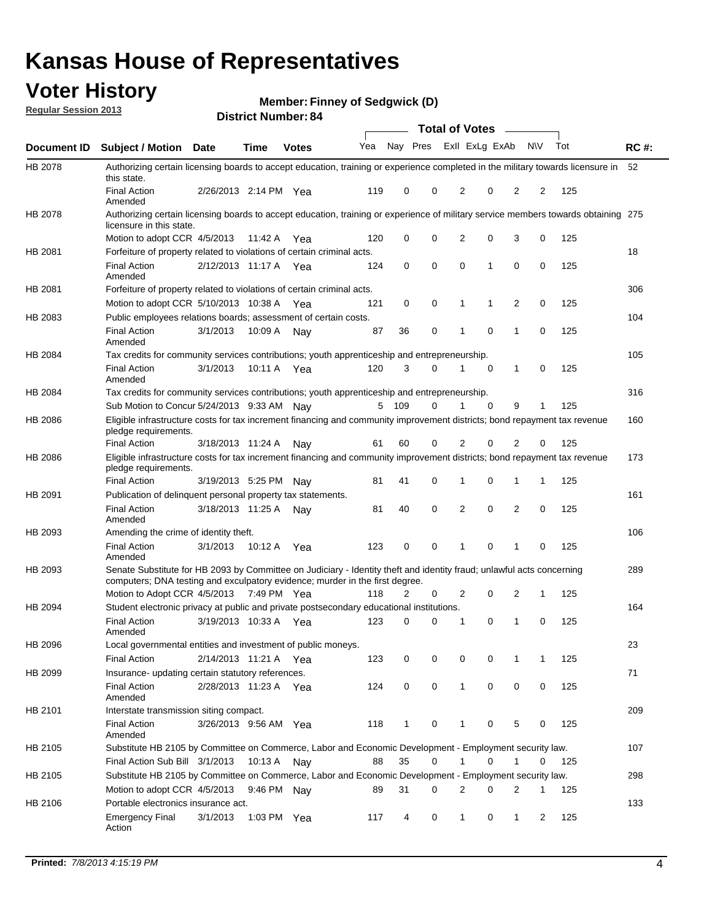## **Voter History**

**Member: Finney of Sedgwick (D)** 

**Regular Session 2013**

|             |                                                                                                                                                                                                       |                       | ט הסמווטנו ועווווער |              |     |              |             | <b>Total of Votes</b> |             | $\sim$         |           |     |             |
|-------------|-------------------------------------------------------------------------------------------------------------------------------------------------------------------------------------------------------|-----------------------|---------------------|--------------|-----|--------------|-------------|-----------------------|-------------|----------------|-----------|-----|-------------|
| Document ID | <b>Subject / Motion Date</b>                                                                                                                                                                          |                       | <b>Time</b>         | <b>Votes</b> | Yea | Nay Pres     |             | Exll ExLg ExAb        |             |                | <b>NV</b> | Tot | <b>RC#:</b> |
| HB 2078     | Authorizing certain licensing boards to accept education, training or experience completed in the military towards licensure in<br>this state.                                                        |                       |                     |              |     |              |             |                       |             |                |           |     | 52          |
|             | <b>Final Action</b><br>Amended                                                                                                                                                                        | 2/26/2013 2:14 PM Yea |                     |              | 119 | 0            | 0           | 2                     | 0           | 2              | 2         | 125 |             |
| HB 2078     | Authorizing certain licensing boards to accept education, training or experience of military service members towards obtaining 275<br>licensure in this state.                                        |                       |                     |              |     |              |             |                       |             |                |           |     |             |
|             | Motion to adopt CCR 4/5/2013                                                                                                                                                                          |                       | 11:42 A             | Yea          | 120 | 0            | $\mathbf 0$ | $\overline{2}$        | 0           | 3              | 0         | 125 |             |
| HB 2081     | Forfeiture of property related to violations of certain criminal acts.                                                                                                                                |                       |                     |              |     |              |             |                       |             |                |           |     | 18          |
|             | <b>Final Action</b><br>Amended                                                                                                                                                                        | 2/12/2013 11:17 A Yea |                     |              | 124 | 0            | 0           | $\Omega$              | 1           | 0              | 0         | 125 |             |
| HB 2081     | Forfeiture of property related to violations of certain criminal acts.                                                                                                                                |                       |                     |              |     |              |             |                       |             |                |           |     | 306         |
|             | Motion to adopt CCR 5/10/2013 10:38 A                                                                                                                                                                 |                       |                     | Yea          | 121 | 0            | 0           | 1                     | 1           | 2              | 0         | 125 |             |
| HB 2083     | Public employees relations boards; assessment of certain costs.                                                                                                                                       |                       |                     |              |     |              |             |                       |             |                |           |     | 104         |
|             | <b>Final Action</b><br>Amended                                                                                                                                                                        | 3/1/2013              | 10:09 A             | Nay          | 87  | 36           | 0           | 1                     | 0           | 1              | 0         | 125 |             |
| HB 2084     | Tax credits for community services contributions; youth apprenticeship and entrepreneurship.                                                                                                          |                       |                     |              |     |              |             |                       |             |                |           |     | 105         |
|             | <b>Final Action</b><br>Amended                                                                                                                                                                        | 3/1/2013              | 10:11 A             | Yea          | 120 | 3            | 0           |                       | $\mathbf 0$ | $\mathbf{1}$   | 0         | 125 |             |
| HB 2084     | Tax credits for community services contributions; youth apprenticeship and entrepreneurship.                                                                                                          |                       |                     |              |     |              |             |                       |             |                |           |     | 316         |
|             | Sub Motion to Concur 5/24/2013 9:33 AM Nav                                                                                                                                                            |                       |                     |              | 5   | - 109        | 0           | 1                     | 0           | 9              | 1         | 125 |             |
| HB 2086     | Eligible infrastructure costs for tax increment financing and community improvement districts; bond repayment tax revenue<br>pledge requirements.                                                     |                       |                     |              |     |              |             |                       |             |                |           |     | 160         |
|             | <b>Final Action</b>                                                                                                                                                                                   | 3/18/2013 11:24 A     |                     | Nay          | 61  | 60           | 0           | 2                     | 0           | 2              | 0         | 125 |             |
| HB 2086     | Eligible infrastructure costs for tax increment financing and community improvement districts; bond repayment tax revenue<br>pledge requirements.                                                     |                       |                     |              |     |              |             |                       |             |                |           |     | 173         |
|             | <b>Final Action</b>                                                                                                                                                                                   | 3/19/2013 5:25 PM     |                     | Nay          | 81  | 41           | 0           | 1                     | 0           | 1              | 1         | 125 |             |
| HB 2091     | Publication of delinquent personal property tax statements.                                                                                                                                           |                       |                     |              |     |              |             |                       |             |                |           |     | 161         |
|             | <b>Final Action</b><br>Amended                                                                                                                                                                        | 3/18/2013 11:25 A     |                     | Nav          | 81  | 40           | 0           | 2                     | 0           | $\overline{2}$ | 0         | 125 |             |
| HB 2093     | Amending the crime of identity theft.                                                                                                                                                                 |                       |                     |              |     |              |             |                       |             |                |           |     | 106         |
|             | <b>Final Action</b><br>Amended                                                                                                                                                                        | 3/1/2013              | 10:12 A             | Yea          | 123 | 0            | $\Omega$    | 1                     | 0           | 1              | 0         | 125 |             |
| HB 2093     | Senate Substitute for HB 2093 by Committee on Judiciary - Identity theft and identity fraud; unlawful acts concerning<br>computers; DNA testing and exculpatory evidence; murder in the first degree. |                       |                     |              |     |              |             |                       |             |                |           |     | 289         |
|             | Motion to Adopt CCR 4/5/2013 7:49 PM Yea                                                                                                                                                              |                       |                     |              | 118 | 2            | 0           | 2                     | 0           | 2              | 1         | 125 |             |
| HB 2094     | Student electronic privacy at public and private postsecondary educational institutions.                                                                                                              |                       |                     |              |     |              |             |                       |             |                |           |     | 164         |
|             | <b>Final Action</b><br>Amended                                                                                                                                                                        | 3/19/2013 10:33 A     |                     | Yea          | 123 | 0            | 0           | 1                     | 0           | 1              | 0         | 125 |             |
| HB 2096     | Local governmental entities and investment of public moneys.                                                                                                                                          |                       |                     |              |     |              |             |                       |             |                |           |     | 23          |
|             | <b>Final Action</b>                                                                                                                                                                                   | 2/14/2013 11:21 A     |                     | Yea          | 123 | 0            | 0           | 0                     | 0           | 1              | 1         | 125 |             |
| HB 2099     | Insurance- updating certain statutory references.                                                                                                                                                     |                       |                     |              |     |              |             |                       |             |                |           |     | 71          |
|             | <b>Final Action</b><br>Amended                                                                                                                                                                        | 2/28/2013 11:23 A     |                     | Yea          | 124 | 0            | 0           | 1                     | 0           | 0              | 0         | 125 |             |
| HB 2101     | Interstate transmission siting compact.                                                                                                                                                               |                       |                     |              |     |              |             |                       |             |                |           |     | 209         |
|             | Final Action<br>Amended                                                                                                                                                                               | 3/26/2013 9:56 AM Yea |                     |              | 118 | $\mathbf{1}$ | 0           | 1                     | 0           | 5              | 0         | 125 |             |
| HB 2105     | Substitute HB 2105 by Committee on Commerce, Labor and Economic Development - Employment security law.                                                                                                |                       |                     |              |     |              |             |                       |             |                |           |     | 107         |
|             | Final Action Sub Bill 3/1/2013                                                                                                                                                                        |                       | 10:13 A Nay         |              | 88  | 35           | 0           |                       | 0           | 1              | 0         | 125 |             |
| HB 2105     | Substitute HB 2105 by Committee on Commerce, Labor and Economic Development - Employment security law.                                                                                                |                       |                     |              |     |              |             |                       |             |                |           |     | 298         |
|             |                                                                                                                                                                                                       |                       |                     |              |     |              |             |                       |             |                |           |     |             |
|             | Motion to adopt CCR 4/5/2013                                                                                                                                                                          |                       | 9:46 PM Nay         |              | 89  | 31           | 0           | 2                     | 0           | 2              | 1         | 125 |             |
| HB 2106     | Portable electronics insurance act.                                                                                                                                                                   |                       |                     |              |     |              |             |                       |             |                |           |     | 133         |
|             | <b>Emergency Final</b><br>Action                                                                                                                                                                      | 3/1/2013              | 1:03 PM Yea         |              | 117 | 4            | 0           | $\mathbf{1}$          | 0           | $\mathbf{1}$   | 2         | 125 |             |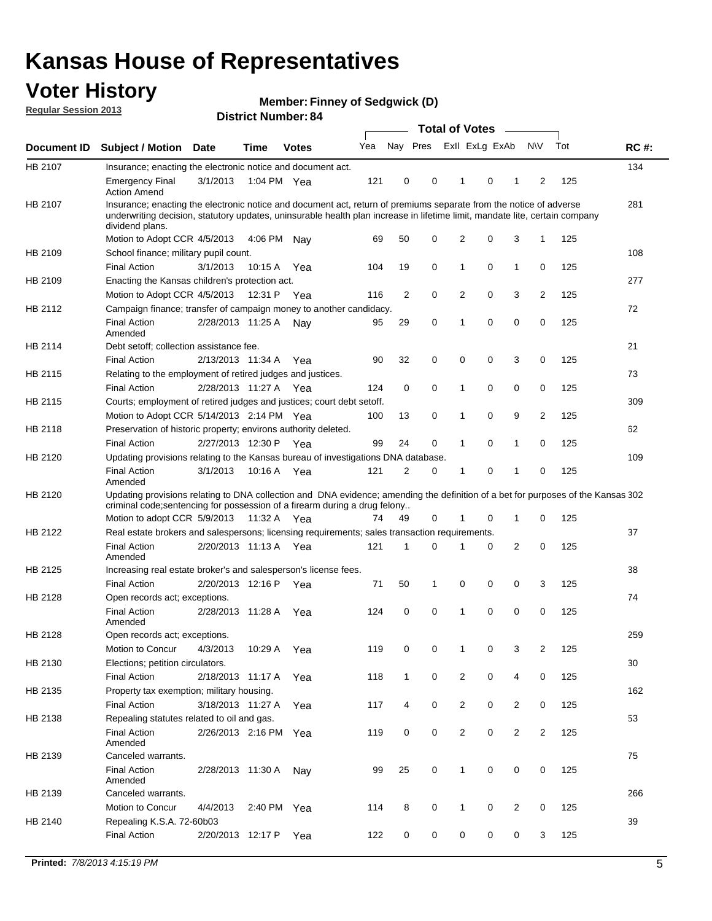## **Voter History**

**Member: Finney of Sedgwick (D)** 

**Regular Session 2013**

|             |                                                                                                                                                                                                                                                                      |                       | יט ויסטוווטנו וישוווט |              |     |                |             | <b>Total of Votes</b> |   | $\sim$         |                |     |             |
|-------------|----------------------------------------------------------------------------------------------------------------------------------------------------------------------------------------------------------------------------------------------------------------------|-----------------------|-----------------------|--------------|-----|----------------|-------------|-----------------------|---|----------------|----------------|-----|-------------|
| Document ID | <b>Subject / Motion Date</b>                                                                                                                                                                                                                                         |                       | <b>Time</b>           | <b>Votes</b> | Yea | Nay Pres       |             | Exll ExLg ExAb        |   |                | <b>NV</b>      | Tot | <b>RC#:</b> |
| HB 2107     | Insurance; enacting the electronic notice and document act.                                                                                                                                                                                                          |                       |                       |              |     |                |             |                       |   |                |                |     | 134         |
|             | <b>Emergency Final</b><br><b>Action Amend</b>                                                                                                                                                                                                                        | 3/1/2013              | 1:04 PM Yea           |              | 121 | 0              | 0           | 1                     | 0 | 1              | 2              | 125 |             |
| HB 2107     | Insurance; enacting the electronic notice and document act, return of premiums separate from the notice of adverse<br>underwriting decision, statutory updates, uninsurable health plan increase in lifetime limit, mandate lite, certain company<br>dividend plans. |                       |                       |              |     |                |             |                       |   |                |                |     | 281         |
|             | Motion to Adopt CCR 4/5/2013                                                                                                                                                                                                                                         |                       | 4:06 PM               | Nav          | 69  | 50             | 0           | 2                     | 0 | 3              | $\mathbf{1}$   | 125 |             |
| HB 2109     | School finance; military pupil count.                                                                                                                                                                                                                                |                       |                       |              |     |                |             |                       |   |                |                |     | 108         |
|             | <b>Final Action</b>                                                                                                                                                                                                                                                  | 3/1/2013              | 10:15A                | Yea          | 104 | 19             | 0           | 1                     | 0 | $\mathbf{1}$   | 0              | 125 |             |
| HB 2109     | Enacting the Kansas children's protection act.                                                                                                                                                                                                                       |                       |                       |              |     |                |             |                       |   |                |                |     | 277         |
|             | Motion to Adopt CCR 4/5/2013                                                                                                                                                                                                                                         |                       | 12:31 P               | Yea          | 116 | $\overline{2}$ | 0           | 2                     | 0 | 3              | $\overline{2}$ | 125 |             |
| HB 2112     | Campaign finance; transfer of campaign money to another candidacy.                                                                                                                                                                                                   |                       |                       |              |     |                |             |                       |   |                |                |     | 72          |
|             | <b>Final Action</b><br>Amended                                                                                                                                                                                                                                       | 2/28/2013 11:25 A     |                       | Nay          | 95  | 29             | 0           | 1                     | 0 | 0              | 0              | 125 |             |
| HB 2114     | Debt setoff; collection assistance fee.                                                                                                                                                                                                                              |                       |                       |              |     |                |             |                       |   |                |                |     | 21          |
|             | <b>Final Action</b>                                                                                                                                                                                                                                                  | 2/13/2013 11:34 A     |                       | Yea          | 90  | 32             | 0           | 0                     | 0 | 3              | 0              | 125 |             |
| HB 2115     | Relating to the employment of retired judges and justices.                                                                                                                                                                                                           |                       |                       |              |     |                |             |                       |   |                |                |     | 73          |
|             | <b>Final Action</b>                                                                                                                                                                                                                                                  | 2/28/2013 11:27 A     |                       | Yea          | 124 | 0              | $\mathbf 0$ | 1                     | 0 | 0              | 0              | 125 |             |
| HB 2115     | Courts; employment of retired judges and justices; court debt setoff.                                                                                                                                                                                                |                       |                       |              |     |                |             |                       |   |                |                |     | 309         |
|             | Motion to Adopt CCR 5/14/2013 2:14 PM Yea                                                                                                                                                                                                                            |                       |                       |              | 100 | 13             | 0           | 1                     | 0 | 9              | $\overline{2}$ | 125 |             |
| HB 2118     | Preservation of historic property; environs authority deleted.                                                                                                                                                                                                       |                       |                       |              |     |                |             |                       |   |                |                |     | 62          |
|             | <b>Final Action</b>                                                                                                                                                                                                                                                  | 2/27/2013 12:30 P     |                       | Yea          | 99  | 24             | 0           | 1                     | 0 | $\mathbf{1}$   | 0              | 125 |             |
| HB 2120     | Updating provisions relating to the Kansas bureau of investigations DNA database.                                                                                                                                                                                    |                       |                       |              |     |                |             |                       |   |                |                |     | 109         |
|             | <b>Final Action</b><br>Amended                                                                                                                                                                                                                                       | 3/1/2013              | 10:16 A               | Yea          | 121 | 2              | 0           | 1                     | 0 | 1              | 0              | 125 |             |
| HB 2120     | Updating provisions relating to DNA collection and DNA evidence; amending the definition of a bet for purposes of the Kansas 302<br>criminal code; sentencing for possession of a firearm during a drug felony                                                       |                       |                       |              |     |                |             |                       |   |                |                |     |             |
|             | Motion to adopt CCR 5/9/2013                                                                                                                                                                                                                                         |                       | 11:32 A Yea           |              | 74  | 49             | 0           |                       | 0 | 1              | 0              | 125 |             |
| HB 2122     | Real estate brokers and salespersons; licensing requirements; sales transaction requirements.                                                                                                                                                                        |                       |                       |              |     |                |             |                       |   |                |                |     | 37          |
|             | <b>Final Action</b><br>Amended                                                                                                                                                                                                                                       | 2/20/2013 11:13 A Yea |                       |              | 121 | 1              | 0           |                       | 0 | 2              | 0              | 125 |             |
| HB 2125     | Increasing real estate broker's and salesperson's license fees.                                                                                                                                                                                                      |                       |                       |              |     |                |             |                       |   |                |                |     | 38          |
|             | <b>Final Action</b>                                                                                                                                                                                                                                                  | 2/20/2013 12:16 P     |                       | Yea          | 71  | 50             | 1           | 0                     | 0 | 0              | 3              | 125 |             |
| HB 2128     | Open records act; exceptions.                                                                                                                                                                                                                                        |                       |                       |              |     |                |             |                       |   |                |                |     | 74          |
|             | <b>Final Action</b><br>Amended                                                                                                                                                                                                                                       | 2/28/2013 11:28 A     |                       | Yea          | 124 | 0              | 0           | 1                     | 0 | 0              | 0              | 125 |             |
| HB 2128     | Open records act; exceptions.                                                                                                                                                                                                                                        |                       |                       |              |     |                |             |                       |   |                |                |     | 259         |
|             | Motion to Concur                                                                                                                                                                                                                                                     | 4/3/2013              | 10:29 A               | Yea          | 119 | 0              | 0           | 1                     | 0 | 3              | $\overline{2}$ | 125 |             |
| HB 2130     | Elections; petition circulators.                                                                                                                                                                                                                                     |                       |                       |              |     |                |             |                       |   |                |                |     | 30          |
|             | <b>Final Action</b>                                                                                                                                                                                                                                                  | 2/18/2013 11:17 A     |                       | Yea          | 118 | $\mathbf{1}$   | 0           | $\overline{c}$        | 0 | 4              | 0              | 125 |             |
| HB 2135     | Property tax exemption; military housing.                                                                                                                                                                                                                            |                       |                       |              |     |                |             |                       |   |                |                |     | 162         |
|             | <b>Final Action</b>                                                                                                                                                                                                                                                  | 3/18/2013 11:27 A     |                       | Yea          | 117 | 4              | 0           | $\overline{c}$        | 0 | $\overline{2}$ | 0              | 125 |             |
| HB 2138     | Repealing statutes related to oil and gas.                                                                                                                                                                                                                           |                       |                       |              |     |                |             |                       |   |                |                |     | 53          |
|             | <b>Final Action</b><br>Amended                                                                                                                                                                                                                                       | 2/26/2013 2:16 PM Yea |                       |              | 119 | 0              | 0           | 2                     | 0 | $\overline{2}$ | $\overline{2}$ | 125 |             |
| HB 2139     | Canceled warrants.                                                                                                                                                                                                                                                   |                       |                       |              |     |                |             |                       |   |                |                |     | 75          |
|             | <b>Final Action</b><br>Amended                                                                                                                                                                                                                                       | 2/28/2013 11:30 A     |                       | Nay          | 99  | 25             | 0           | 1                     | 0 | 0              | 0              | 125 |             |
| HB 2139     | Canceled warrants.                                                                                                                                                                                                                                                   |                       |                       |              |     |                |             |                       |   |                |                |     | 266         |
|             | Motion to Concur                                                                                                                                                                                                                                                     | 4/4/2013              | 2:40 PM               | Yea          | 114 | 8              | 0           | 1                     | 0 | 2              | 0              | 125 |             |
| HB 2140     | Repealing K.S.A. 72-60b03                                                                                                                                                                                                                                            |                       |                       |              |     |                |             |                       |   |                |                |     | 39          |
|             | <b>Final Action</b>                                                                                                                                                                                                                                                  | 2/20/2013 12:17 P     |                       | Yea          | 122 | 0              | 0           | 0                     | 0 | 0              | 3              | 125 |             |
|             |                                                                                                                                                                                                                                                                      |                       |                       |              |     |                |             |                       |   |                |                |     |             |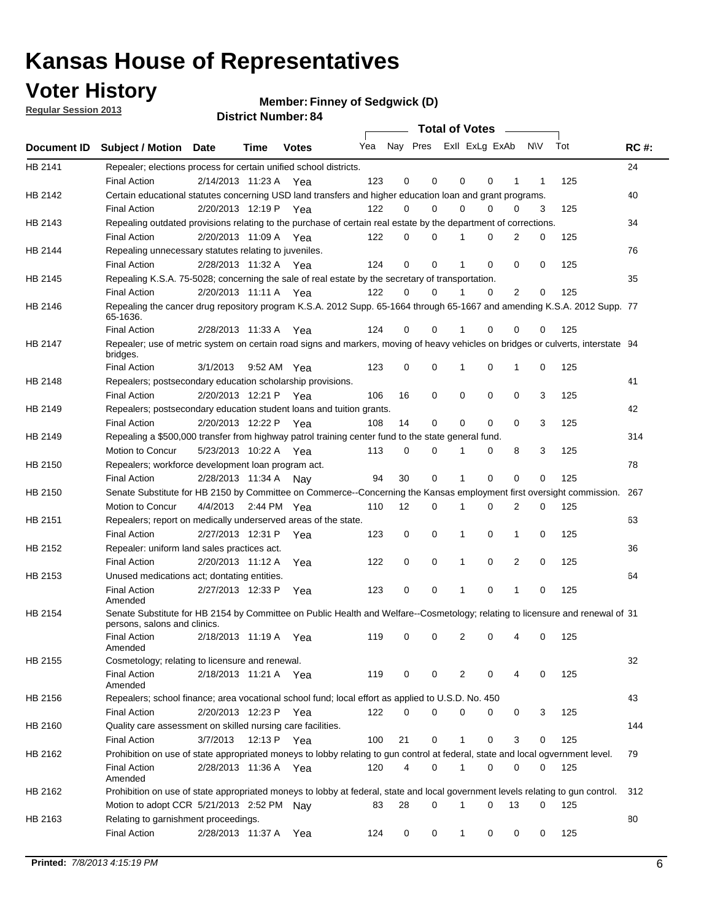## **Voter History**

**Member: Finney of Sedgwick (D)** 

**Regular Session 2013**

|             |                                                                                                                                              |          |                       |              |     |             | <b>Total of Votes</b>   |              |   | <b>Contract Contract</b> |           |     |             |
|-------------|----------------------------------------------------------------------------------------------------------------------------------------------|----------|-----------------------|--------------|-----|-------------|-------------------------|--------------|---|--------------------------|-----------|-----|-------------|
| Document ID | <b>Subject / Motion Date</b>                                                                                                                 |          | Time                  | <b>Votes</b> | Yea |             | Nay Pres ExII ExLg ExAb |              |   |                          | <b>NV</b> | Tot | <b>RC#:</b> |
| HB 2141     | Repealer; elections process for certain unified school districts.                                                                            |          |                       |              |     |             |                         |              |   |                          |           |     | 24          |
|             | <b>Final Action</b>                                                                                                                          |          | 2/14/2013 11:23 A Yea |              | 123 | 0           | 0                       | 0            | 0 | 1                        | 1         | 125 |             |
| HB 2142     | Certain educational statutes concerning USD land transfers and higher education loan and grant programs.                                     |          |                       |              |     |             |                         |              |   |                          |           |     | 40          |
|             | <b>Final Action</b>                                                                                                                          |          | 2/20/2013 12:19 P Yea |              | 122 | 0           | 0                       | $\Omega$     | 0 | $\Omega$                 | 3         | 125 |             |
| HB 2143     | Repealing outdated provisions relating to the purchase of certain real estate by the department of corrections.                              |          |                       |              |     |             |                         |              |   |                          |           |     | 34          |
|             | <b>Final Action</b>                                                                                                                          |          | 2/20/2013 11:09 A Yea |              | 122 | 0           | 0                       | 1            | 0 | $\overline{2}$           | 0         | 125 |             |
| HB 2144     | Repealing unnecessary statutes relating to juveniles.                                                                                        |          |                       |              |     |             |                         |              |   |                          |           |     | 76          |
|             | <b>Final Action</b>                                                                                                                          |          | 2/28/2013 11:32 A Yea |              | 124 | $\mathbf 0$ | 0                       | 1            | 0 | 0                        | 0         | 125 |             |
| HB 2145     | Repealing K.S.A. 75-5028; concerning the sale of real estate by the secretary of transportation.                                             |          |                       |              |     |             |                         |              |   |                          |           |     | 35          |
|             | <b>Final Action</b>                                                                                                                          |          | 2/20/2013 11:11 A Yea |              | 122 | 0           | 0                       | 1            | 0 | 2                        | 0         | 125 |             |
| HB 2146     | Repealing the cancer drug repository program K.S.A. 2012 Supp. 65-1664 through 65-1667 and amending K.S.A. 2012 Supp. 77<br>65-1636.         |          |                       |              |     |             |                         |              |   |                          |           |     |             |
|             | <b>Final Action</b>                                                                                                                          |          | 2/28/2013 11:33 A     | Yea          | 124 | 0           | 0                       | 1            | 0 | 0                        | 0         | 125 |             |
| HB 2147     | Repealer; use of metric system on certain road signs and markers, moving of heavy vehicles on bridges or culverts, interstate 94<br>bridges. |          |                       |              |     |             |                         |              |   |                          |           |     |             |
|             | <b>Final Action</b>                                                                                                                          | 3/1/2013 |                       | 9:52 AM Yea  | 123 | $\mathbf 0$ | 0                       |              | 0 | 1                        | 0         | 125 |             |
| HB 2148     | Repealers; postsecondary education scholarship provisions.                                                                                   |          |                       |              |     |             |                         |              |   |                          |           |     | 41          |
|             | <b>Final Action</b>                                                                                                                          |          | 2/20/2013 12:21 P     | Yea          | 106 | 16          | 0                       | $\mathbf 0$  | 0 | $\mathbf 0$              | 3         | 125 |             |
| HB 2149     | Repealers; postsecondary education student loans and tuition grants.                                                                         |          |                       |              |     |             |                         |              |   |                          |           |     | 42          |
|             | <b>Final Action</b>                                                                                                                          |          | 2/20/2013 12:22 P     | Yea          | 108 | 14          | 0                       | 0            | 0 | $\Omega$                 | 3         | 125 |             |
| HB 2149     | Repealing a \$500,000 transfer from highway patrol training center fund to the state general fund.                                           |          |                       |              |     |             |                         |              |   |                          |           |     | 314         |
|             | Motion to Concur                                                                                                                             |          | 5/23/2013 10:22 A Yea |              | 113 | 0           | 0                       |              | 0 | 8                        | 3         | 125 |             |
| HB 2150     | Repealers; workforce development loan program act.                                                                                           |          |                       |              |     |             |                         |              |   |                          |           |     | 78          |
|             | <b>Final Action</b>                                                                                                                          |          | 2/28/2013 11:34 A     | Nav          | 94  | 30          | 0                       | 1            | 0 | 0                        | 0         | 125 |             |
| HB 2150     | Senate Substitute for HB 2150 by Committee on Commerce--Concerning the Kansas employment first oversight commission.                         |          |                       |              |     |             |                         |              |   |                          |           |     | 267         |
|             | Motion to Concur                                                                                                                             |          | 4/4/2013 2:44 PM Yea  |              | 110 | 12          | 0                       | 1            | 0 | 2                        | 0         | 125 |             |
| HB 2151     | Repealers; report on medically underserved areas of the state.                                                                               |          |                       |              |     |             |                         |              |   |                          |           |     | 63          |
|             | <b>Final Action</b>                                                                                                                          |          | 2/27/2013 12:31 P     | Yea          | 123 | 0           | 0                       | 1            | 0 | 1                        | 0         | 125 |             |
| HB 2152     | Repealer: uniform land sales practices act.                                                                                                  |          |                       |              |     |             |                         |              |   |                          |           |     | 36          |
|             | <b>Final Action</b>                                                                                                                          |          | 2/20/2013 11:12 A     | Yea          | 122 | 0           | 0                       | 1            | 0 | 2                        | 0         | 125 |             |
| HB 2153     | Unused medications act; dontating entities.                                                                                                  |          |                       |              |     |             |                         |              |   |                          |           |     | 64          |
|             | <b>Final Action</b><br>Amended                                                                                                               |          | 2/27/2013 12:33 P     | Yea          | 123 | 0           | 0                       | 1            | 0 | $\mathbf{1}$             | 0         | 125 |             |
| HB 2154     | Senate Substitute for HB 2154 by Committee on Public Health and Welfare--Cosmetology; relating to licensure and renewal of 31                |          |                       |              |     |             |                         |              |   |                          |           |     |             |
|             | persons, salons and clinics.<br><b>Final Action</b><br>Amended                                                                               |          | 2/18/2013 11:19 A     | Yea          | 119 | 0           | 0                       | 2            | 0 | 4                        | 0         | 125 |             |
| HB 2155     | Cosmetology; relating to licensure and renewal.                                                                                              |          |                       |              |     |             |                         |              |   |                          |           |     | 32          |
|             | <b>Final Action</b><br>Amended                                                                                                               |          | 2/18/2013 11:21 A Yea |              | 119 | 0           | 0                       | 2            | 0 |                          | 0         | 125 |             |
| HB 2156     | Repealers; school finance; area vocational school fund; local effort as applied to U.S.D. No. 450                                            |          |                       |              |     |             |                         |              |   |                          |           |     | 43          |
|             | <b>Final Action</b>                                                                                                                          |          | 2/20/2013 12:23 P     | Yea          | 122 | 0           | 0                       | 0            | 0 | 0                        | 3         | 125 |             |
| HB 2160     | Quality care assessment on skilled nursing care facilities.                                                                                  |          |                       |              |     |             |                         |              |   |                          |           |     | 144         |
|             | <b>Final Action</b>                                                                                                                          | 3/7/2013 |                       | 12:13 P Yea  | 100 | 21          | 0                       | 1            | 0 | 3                        | 0         | 125 |             |
| HB 2162     | Prohibition on use of state appropriated moneys to lobby relating to gun control at federal, state and local ogvernment level.               |          |                       |              |     |             |                         |              |   |                          |           |     | 79          |
|             | <b>Final Action</b><br>Amended                                                                                                               |          | 2/28/2013 11:36 A Yea |              | 120 | 4           | 0                       | 1            | 0 | 0                        | 0         | 125 |             |
| HB 2162     | Prohibition on use of state appropriated moneys to lobby at federal, state and local government levels relating to gun control.              |          |                       |              |     |             |                         |              |   |                          |           |     | 312         |
|             | Motion to adopt CCR 5/21/2013 2:52 PM Nay                                                                                                    |          |                       |              | 83  | 28          | 0                       |              | 0 | 13                       | 0         | 125 |             |
| HB 2163     | Relating to garnishment proceedings.                                                                                                         |          |                       |              |     |             |                         |              |   |                          |           |     | 80          |
|             | <b>Final Action</b>                                                                                                                          |          | 2/28/2013 11:37 A Yea |              | 124 | 0           | 0                       | $\mathbf{1}$ | 0 | 0                        | 0         | 125 |             |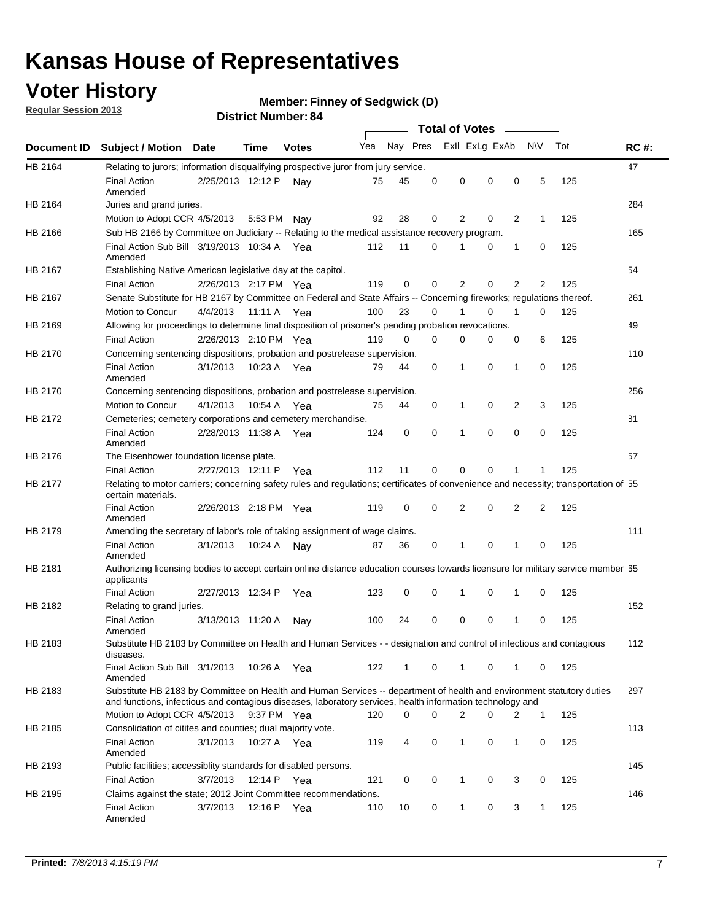## **Voter History**

**Member: Finney of Sedgwick (D)** 

**Regular Session 2013**

|             |                                                                                                                                                                                                                                    |                       | ט הסעוווטנו ועווווטכו |              |     |          |          | <b>Total of Votes</b> |   | $\overline{\phantom{a}}$ |                |     |             |
|-------------|------------------------------------------------------------------------------------------------------------------------------------------------------------------------------------------------------------------------------------|-----------------------|-----------------------|--------------|-----|----------|----------|-----------------------|---|--------------------------|----------------|-----|-------------|
| Document ID | <b>Subject / Motion Date</b>                                                                                                                                                                                                       |                       | Time                  | <b>Votes</b> | Yea | Nay Pres |          | Exll ExLg ExAb        |   |                          | <b>NV</b>      | Tot | <b>RC#:</b> |
| HB 2164     | Relating to jurors; information disqualifying prospective juror from jury service.                                                                                                                                                 |                       |                       |              |     |          |          |                       |   |                          |                |     | 47          |
|             | <b>Final Action</b><br>Amended                                                                                                                                                                                                     | 2/25/2013 12:12 P     |                       | Nav          | 75  | 45       | 0        | 0                     | 0 | 0                        | 5              | 125 |             |
| HB 2164     | Juries and grand juries.                                                                                                                                                                                                           |                       |                       |              |     |          |          |                       |   |                          |                |     | 284         |
|             | Motion to Adopt CCR 4/5/2013                                                                                                                                                                                                       |                       | 5:53 PM               | Nav          | 92  | 28       | 0        | 2                     | 0 | $\overline{2}$           | $\mathbf{1}$   | 125 |             |
| HB 2166     | Sub HB 2166 by Committee on Judiciary -- Relating to the medical assistance recovery program.                                                                                                                                      |                       |                       |              |     |          |          |                       |   |                          |                |     | 165         |
|             | Final Action Sub Bill 3/19/2013 10:34 A Yea<br>Amended                                                                                                                                                                             |                       |                       |              | 112 | 11       | $\Omega$ |                       | 0 | 1                        | 0              | 125 |             |
| HB 2167     | Establishing Native American legislative day at the capitol.                                                                                                                                                                       |                       |                       |              |     |          |          |                       |   |                          |                |     | 54          |
|             | <b>Final Action</b>                                                                                                                                                                                                                | 2/26/2013 2:17 PM Yea |                       |              | 119 | 0        | $\Omega$ | 2                     | 0 | $\overline{2}$           | 2              | 125 |             |
| HB 2167     | Senate Substitute for HB 2167 by Committee on Federal and State Affairs -- Concerning fireworks; regulations thereof.                                                                                                              |                       |                       |              |     |          |          |                       |   |                          |                |     | 261         |
|             | Motion to Concur                                                                                                                                                                                                                   | 4/4/2013              | 11:11 A Yea           |              | 100 | 23       | 0        | 1                     | 0 | 1                        | 0              | 125 |             |
| HB 2169     | Allowing for proceedings to determine final disposition of prisoner's pending probation revocations.                                                                                                                               |                       |                       |              |     |          |          |                       |   |                          |                |     | 49          |
|             | <b>Final Action</b>                                                                                                                                                                                                                | 2/26/2013 2:10 PM Yea |                       |              | 119 | 0        | 0        | 0                     | 0 | 0                        | 6              | 125 |             |
| HB 2170     | Concerning sentencing dispositions, probation and postrelease supervision.                                                                                                                                                         |                       |                       |              |     |          |          |                       |   |                          |                |     | 110         |
|             | <b>Final Action</b><br>Amended                                                                                                                                                                                                     | 3/1/2013              | 10:23 A Yea           |              | 79  | 44       | 0        | 1                     | 0 | 1                        | 0              | 125 |             |
| HB 2170     | Concerning sentencing dispositions, probation and postrelease supervision.                                                                                                                                                         |                       |                       |              |     |          |          |                       |   |                          |                |     | 256         |
|             | Motion to Concur                                                                                                                                                                                                                   | 4/1/2013              | 10:54 A Yea           |              | 75  | 44       | 0        | 1                     | 0 | $\overline{2}$           | 3              | 125 |             |
| HB 2172     | Cemeteries; cemetery corporations and cemetery merchandise.                                                                                                                                                                        |                       |                       |              |     |          |          |                       |   |                          |                |     | 81          |
|             | <b>Final Action</b><br>Amended                                                                                                                                                                                                     | 2/28/2013 11:38 A Yea |                       |              | 124 | 0        | 0        | 1                     | 0 | $\Omega$                 | 0              | 125 |             |
| HB 2176     | The Eisenhower foundation license plate.                                                                                                                                                                                           |                       |                       |              |     |          |          |                       |   |                          |                |     | 57          |
|             | <b>Final Action</b>                                                                                                                                                                                                                | 2/27/2013 12:11 P     |                       | Yea          | 112 | 11       | $\Omega$ | 0                     | 0 | 1                        | 1              | 125 |             |
| HB 2177     | Relating to motor carriers; concerning safety rules and regulations; certificates of convenience and necessity; transportation of 55<br>certain materials.                                                                         |                       |                       |              |     |          |          |                       |   |                          |                |     |             |
|             | <b>Final Action</b><br>Amended                                                                                                                                                                                                     | 2/26/2013 2:18 PM Yea |                       |              | 119 | 0        | $\Omega$ | 2                     | 0 | $\overline{2}$           | $\overline{2}$ | 125 |             |
| HB 2179     | Amending the secretary of labor's role of taking assignment of wage claims.                                                                                                                                                        |                       |                       |              |     |          |          |                       |   |                          |                |     | 111         |
|             | <b>Final Action</b><br>Amended                                                                                                                                                                                                     | 3/1/2013              | 10:24 A               | Nav          | 87  | 36       | 0        | 1                     | 0 | 1                        | 0              | 125 |             |
| HB 2181     | Authorizing licensing bodies to accept certain online distance education courses towards licensure for military service member 55<br>applicants                                                                                    |                       |                       |              |     |          |          |                       |   |                          |                |     |             |
|             | <b>Final Action</b>                                                                                                                                                                                                                | 2/27/2013 12:34 P     |                       | Yea          | 123 | 0        | 0        |                       | 0 | 1                        | 0              | 125 |             |
| HB 2182     | Relating to grand juries.                                                                                                                                                                                                          |                       |                       |              |     |          |          |                       |   |                          |                |     | 152         |
|             | <b>Final Action</b><br>Amended                                                                                                                                                                                                     | 3/13/2013 11:20 A     |                       | Nav          | 100 | 24       | 0        | 0                     | 0 | 1                        | 0              | 125 |             |
| HB 2183     | Substitute HB 2183 by Committee on Health and Human Services - - designation and control of infectious and contagious<br>diseases.                                                                                                 |                       |                       |              |     |          |          |                       |   |                          |                |     | 112         |
|             | Final Action Sub Bill 3/1/2013<br>Amended                                                                                                                                                                                          |                       | 10:26 A Yea           |              | 122 | 1        | 0        | 1                     | 0 | 1                        | 0              | 125 |             |
| HB 2183     | Substitute HB 2183 by Committee on Health and Human Services -- department of health and environment statutory duties<br>and functions, infectious and contagious diseases, laboratory services, health information technology and |                       |                       |              |     |          |          |                       |   |                          |                |     | 297         |
|             | Motion to Adopt CCR 4/5/2013                                                                                                                                                                                                       |                       | 9:37 PM Yea           |              | 120 | 0        | 0        | 2                     | 0 | 2                        | 1              | 125 |             |
| HB 2185     | Consolidation of citites and counties; dual majority vote.                                                                                                                                                                         |                       |                       |              |     |          |          |                       |   |                          |                |     | 113         |
|             | <b>Final Action</b><br>Amended                                                                                                                                                                                                     | 3/1/2013              | 10:27 A Yea           |              | 119 | 4        | 0        | 1                     | 0 | $\mathbf{1}$             | 0              | 125 |             |
| HB 2193     | Public facilities; accessiblity standards for disabled persons.                                                                                                                                                                    |                       |                       |              |     |          |          |                       |   |                          |                |     | 145         |
|             | <b>Final Action</b>                                                                                                                                                                                                                | 3/7/2013              | 12:14 P               | Yea          | 121 | 0        | 0        | 1                     | 0 | 3                        | 0              | 125 |             |
| HB 2195     | Claims against the state; 2012 Joint Committee recommendations.                                                                                                                                                                    |                       |                       |              |     |          |          |                       |   |                          |                |     | 146         |
|             | <b>Final Action</b><br>Amended                                                                                                                                                                                                     | 3/7/2013              | 12:16 P Yea           |              | 110 | 10       | 0        | 1                     | 0 | 3                        | 1              | 125 |             |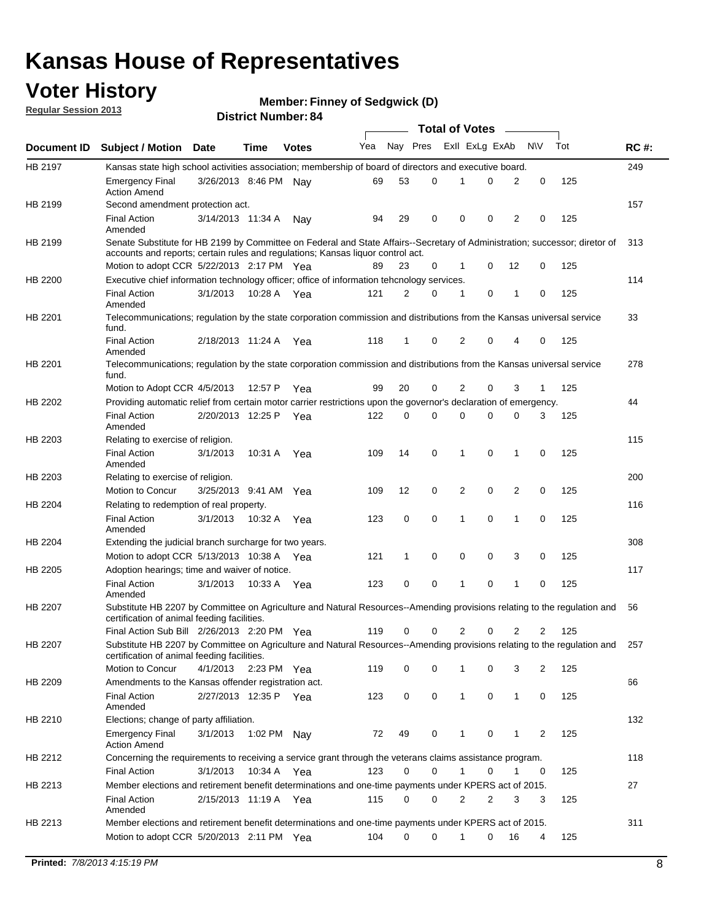## **Voter History**

**Member: Finney of Sedgwick (D)** 

**Regular Session 2013**

|                |                                                                                                                                                                             |                       |             |              |     |          |   | <b>Total of Votes</b> |   |              |            |     |             |
|----------------|-----------------------------------------------------------------------------------------------------------------------------------------------------------------------------|-----------------------|-------------|--------------|-----|----------|---|-----------------------|---|--------------|------------|-----|-------------|
| Document ID    | <b>Subject / Motion Date</b>                                                                                                                                                |                       | Time        | <b>Votes</b> | Yea | Nay Pres |   | Exll ExLg ExAb        |   |              | <b>N/A</b> | Tot | <b>RC#:</b> |
| HB 2197        | Kansas state high school activities association; membership of board of directors and executive board.                                                                      |                       |             |              |     |          |   |                       |   |              |            |     | 249         |
|                | Emergency Final<br><b>Action Amend</b>                                                                                                                                      | 3/26/2013 8:46 PM     |             | Nav          | 69  | 53       | 0 |                       | 0 | 2            | 0          | 125 |             |
| HB 2199        | Second amendment protection act.                                                                                                                                            |                       |             |              |     |          |   |                       |   |              |            |     | 157         |
|                | <b>Final Action</b><br>Amended                                                                                                                                              | 3/14/2013 11:34 A     |             | Nav          | 94  | 29       | 0 | 0                     | 0 | 2            | 0          | 125 |             |
| HB 2199        | Senate Substitute for HB 2199 by Committee on Federal and State Affairs--Secretary of Administration; successor; diretor of                                                 |                       |             |              |     |          |   |                       |   |              |            |     | 313         |
|                | accounts and reports; certain rules and regulations; Kansas liguor control act.                                                                                             |                       |             |              |     |          |   |                       |   |              |            |     |             |
|                | Motion to adopt CCR 5/22/2013 2:17 PM Yea                                                                                                                                   |                       |             |              | 89  | 23       | 0 | 1                     | 0 | 12           | 0          | 125 |             |
| HB 2200        | Executive chief information technology officer; office of information tehcnology services.                                                                                  |                       |             |              |     |          |   |                       |   |              |            |     | 114         |
|                | <b>Final Action</b><br>Amended                                                                                                                                              | 3/1/2013              | 10:28 A     | Yea          | 121 | 2        | 0 | 1                     | 0 | 1            | 0          | 125 |             |
| HB 2201        | Telecommunications; regulation by the state corporation commission and distributions from the Kansas universal service<br>fund.                                             |                       |             |              |     |          |   |                       |   |              |            |     | 33          |
|                | <b>Final Action</b><br>Amended                                                                                                                                              | 2/18/2013 11:24 A     |             | Yea          | 118 | 1        | 0 | 2                     | 0 | 4            | 0          | 125 |             |
| HB 2201        | Telecommunications; regulation by the state corporation commission and distributions from the Kansas universal service<br>fund.                                             |                       |             |              |     |          |   |                       |   |              |            |     | 278         |
|                | Motion to Adopt CCR 4/5/2013                                                                                                                                                |                       | 12:57 P     | Yea          | 99  | 20       | 0 | 2                     | 0 | 3            | 1          | 125 |             |
| HB 2202        | Providing automatic relief from certain motor carrier restrictions upon the governor's declaration of emergency.                                                            |                       |             |              |     |          |   |                       |   |              |            |     | 44          |
|                | <b>Final Action</b><br>Amended                                                                                                                                              | 2/20/2013 12:25 P     |             | Yea          | 122 | 0        | 0 | 0                     | 0 | 0            | 3          | 125 |             |
| HB 2203        | Relating to exercise of religion.                                                                                                                                           |                       |             |              |     |          |   |                       |   |              |            |     | 115         |
|                | <b>Final Action</b><br>Amended                                                                                                                                              | 3/1/2013              | 10:31 A     | Yea          | 109 | 14       | 0 | 1                     | 0 | 1            | 0          | 125 |             |
| HB 2203        | Relating to exercise of religion.                                                                                                                                           |                       |             |              |     |          |   |                       |   |              |            |     | 200         |
|                | Motion to Concur                                                                                                                                                            | 3/25/2013 9:41 AM     |             | Yea          | 109 | 12       | 0 | 2                     | 0 | 2            | 0          | 125 |             |
| HB 2204        | Relating to redemption of real property.                                                                                                                                    |                       |             |              |     |          |   |                       |   |              |            |     | 116         |
|                | <b>Final Action</b>                                                                                                                                                         | 3/1/2013              | 10:32 A     | Yea          | 123 | 0        | 0 | 1                     | 0 | 1            | 0          | 125 |             |
| HB 2204        | Amended<br>Extending the judicial branch surcharge for two years.                                                                                                           |                       |             |              |     |          |   |                       |   |              |            |     | 308         |
|                | Motion to adopt CCR 5/13/2013 10:38 A                                                                                                                                       |                       |             | Yea          | 121 | 1        | 0 | 0                     | 0 | 3            | 0          | 125 |             |
| HB 2205        | Adoption hearings; time and waiver of notice.                                                                                                                               |                       |             |              |     |          |   |                       |   |              |            |     | 117         |
|                | <b>Final Action</b>                                                                                                                                                         | 3/1/2013              | 10:33 A Yea |              | 123 | 0        | 0 | 1                     | 0 | 1            | 0          | 125 |             |
|                | Amended                                                                                                                                                                     |                       |             |              |     |          |   |                       |   |              |            |     |             |
| HB 2207        | Substitute HB 2207 by Committee on Agriculture and Natural Resources--Amending provisions relating to the regulation and<br>certification of animal feeding facilities.     |                       |             |              |     |          |   |                       |   |              |            |     | 56          |
|                | Final Action Sub Bill 2/26/2013 2:20 PM Yea                                                                                                                                 |                       |             |              | 119 | 0        | 0 | 2                     | 0 | 2            | 2          | 125 |             |
| <b>HB 2207</b> | Substitute HB 2207 by Committee on Agriculture and Natural Resources--Amending provisions relating to the regulation and 257<br>certification of animal feeding facilities. |                       |             |              |     |          |   |                       |   |              |            |     |             |
|                | Motion to Concur                                                                                                                                                            | 4/1/2013 2:23 PM Yea  |             |              | 119 | 0        | 0 | 1                     | 0 | 3            | 2          | 125 |             |
| HB 2209        | Amendments to the Kansas offender registration act.                                                                                                                         |                       |             |              |     |          |   |                       |   |              |            |     | 66          |
|                | <b>Final Action</b><br>Amended                                                                                                                                              | 2/27/2013 12:35 P Yea |             |              | 123 | 0        | 0 | $\mathbf{1}$          | 0 | $\mathbf{1}$ | 0          | 125 |             |
| HB 2210        | Elections; change of party affiliation.                                                                                                                                     |                       |             |              |     |          |   |                       |   |              |            |     | 132         |
|                | <b>Emergency Final</b><br><b>Action Amend</b>                                                                                                                               | 3/1/2013              | 1:02 PM Nay |              | 72  | 49       | 0 |                       | 0 | 1            | 2          | 125 |             |
| HB 2212        | Concerning the requirements to receiving a service grant through the veterans claims assistance program.                                                                    |                       |             |              |     |          |   |                       |   |              |            |     | 118         |
|                | Final Action                                                                                                                                                                | 3/1/2013              | 10:34 A Yea |              | 123 | 0        | 0 | $\mathbf{1}$          | 0 | 1            | 0          | 125 |             |
| HB 2213        | Member elections and retirement benefit determinations and one-time payments under KPERS act of 2015.                                                                       |                       |             |              |     |          |   |                       |   |              |            |     | 27          |
|                | <b>Final Action</b><br>Amended                                                                                                                                              | 2/15/2013 11:19 A Yea |             |              | 115 | 0        | 0 | 2                     | 2 | 3            | 3          | 125 |             |
| HB 2213        | Member elections and retirement benefit determinations and one-time payments under KPERS act of 2015.                                                                       |                       |             |              |     |          |   |                       |   |              |            |     | 311         |
|                | Motion to adopt CCR 5/20/2013 2:11 PM Yea                                                                                                                                   |                       |             |              | 104 | $\Omega$ | 0 | 1                     | 0 | 16           | 4          | 125 |             |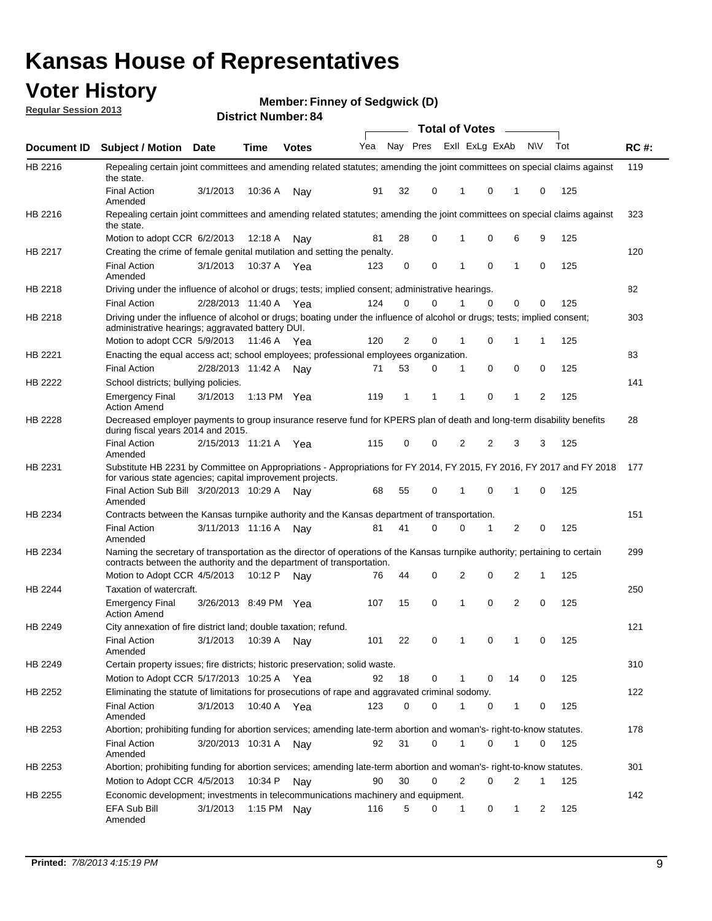## **Voter History**

**Member: Finney of Sedgwick (D)** 

**Regular Session 2013**

|             |                                                                                                                                                                                                       |                         |             |              |     |          |   | <b>Total of Votes</b> |          | $\overline{\phantom{a}}$ |              |     |             |
|-------------|-------------------------------------------------------------------------------------------------------------------------------------------------------------------------------------------------------|-------------------------|-------------|--------------|-----|----------|---|-----------------------|----------|--------------------------|--------------|-----|-------------|
| Document ID | <b>Subject / Motion Date</b>                                                                                                                                                                          |                         | Time        | <b>Votes</b> | Yea | Nay Pres |   | Exll ExLg ExAb        |          |                          | <b>NV</b>    | Tot | <b>RC#:</b> |
| HB 2216     | Repealing certain joint committees and amending related statutes; amending the joint committees on special claims against<br>the state.                                                               |                         |             |              |     |          |   |                       |          |                          |              |     | 119         |
|             | <b>Final Action</b><br>Amended                                                                                                                                                                        | 3/1/2013                | 10:36 A     | Nay          | 91  | 32       | 0 | 1                     | 0        | 1                        | 0            | 125 |             |
| HB 2216     | Repealing certain joint committees and amending related statutes; amending the joint committees on special claims against<br>the state.                                                               |                         |             |              |     |          |   |                       |          |                          |              |     | 323         |
|             | Motion to adopt CCR 6/2/2013                                                                                                                                                                          |                         | 12:18 A     | Nav          | 81  | 28       | 0 | 1                     | 0        | 6                        | 9            | 125 |             |
| HB 2217     | Creating the crime of female genital mutilation and setting the penalty.                                                                                                                              |                         |             |              |     |          |   |                       |          |                          |              |     | 120         |
|             | <b>Final Action</b><br>Amended                                                                                                                                                                        | 3/1/2013                | 10:37 A     | Yea          | 123 | 0        | 0 | 1                     | $\Omega$ | 1                        | 0            | 125 |             |
| HB 2218     | Driving under the influence of alcohol or drugs; tests; implied consent; administrative hearings.                                                                                                     |                         |             |              |     |          |   |                       |          |                          |              |     | 82          |
|             | <b>Final Action</b>                                                                                                                                                                                   | 2/28/2013 11:40 A Yea   |             |              | 124 | 0        | 0 |                       | $\Omega$ | 0                        | 0            | 125 |             |
| HB 2218     | Driving under the influence of alcohol or drugs; boating under the influence of alcohol or drugs; tests; implied consent;<br>administrative hearings; aggravated battery DUI.                         |                         |             |              |     |          |   |                       |          |                          |              |     | 303         |
|             | Motion to adopt CCR 5/9/2013                                                                                                                                                                          |                         | 11:46 A     | Yea          | 120 | 2        | 0 | 1                     | 0        | 1                        | 1            | 125 |             |
| HB 2221     | Enacting the equal access act; school employees; professional employees organization.                                                                                                                 |                         |             |              |     |          |   |                       |          |                          |              |     | 83          |
|             | <b>Final Action</b>                                                                                                                                                                                   | 2/28/2013 11:42 A       |             | Nav          | 71  | 53       | 0 | 1                     | 0        | 0                        | 0            | 125 |             |
| HB 2222     | School districts; bullying policies.                                                                                                                                                                  |                         |             |              |     |          |   |                       |          |                          |              |     | 141         |
|             | <b>Emergency Final</b><br><b>Action Amend</b>                                                                                                                                                         | 3/1/2013                | 1:13 PM     | Yea          | 119 | 1        | 1 | 1                     | 0        | 1                        | 2            | 125 |             |
| HB 2228     | Decreased employer payments to group insurance reserve fund for KPERS plan of death and long-term disability benefits<br>during fiscal years 2014 and 2015.                                           |                         |             |              |     |          |   |                       |          |                          |              |     | 28          |
|             | <b>Final Action</b><br>Amended                                                                                                                                                                        | 2/15/2013 11:21 A       |             | Yea          | 115 | 0        | 0 | 2                     | 2        | 3                        | 3            | 125 |             |
| HB 2231     | Substitute HB 2231 by Committee on Appropriations - Appropriations for FY 2014, FY 2015, FY 2016, FY 2017 and FY 2018<br>for various state agencies; capital improvement projects.                    |                         |             |              |     |          |   |                       |          |                          |              |     | 177         |
|             | Final Action Sub Bill 3/20/2013 10:29 A<br>Amended                                                                                                                                                    |                         |             | Nav          | 68  | 55       | 0 | 1                     | 0        | 1                        | 0            | 125 |             |
| HB 2234     | Contracts between the Kansas turnpike authority and the Kansas department of transportation.                                                                                                          |                         |             |              |     |          |   |                       |          |                          |              |     | 151         |
|             | <b>Final Action</b><br>Amended                                                                                                                                                                        | 3/11/2013 11:16 A       |             | Nav          | 81  | 41       | 0 | 0                     | 1        | 2                        | 0            | 125 |             |
| HB 2234     | Naming the secretary of transportation as the director of operations of the Kansas turnpike authority; pertaining to certain<br>contracts between the authority and the department of transportation. |                         |             |              |     |          |   |                       |          |                          |              |     | 299         |
|             | Motion to Adopt CCR 4/5/2013                                                                                                                                                                          |                         | 10:12 P     | Nav          | 76  | 44       | 0 | 2                     | 0        | 2                        | 1            | 125 |             |
| HB 2244     | Taxation of watercraft.<br><b>Emergency Final</b>                                                                                                                                                     | 3/26/2013 8:49 PM Yea   |             |              | 107 | 15       | 0 | 1                     | 0        | 2                        | 0            | 125 | 250         |
|             | <b>Action Amend</b>                                                                                                                                                                                   |                         |             |              |     |          |   |                       |          |                          |              |     |             |
| HB 2249     | City annexation of fire district land; double taxation; refund.                                                                                                                                       |                         |             |              |     |          |   |                       |          |                          |              |     | 121         |
|             | Final Action<br>Amended                                                                                                                                                                               | 3/1/2013  10:39 A   Nay |             |              | 101 | 22       | 0 | $\mathbf{1}$          | $\Omega$ | $\mathbf{1}$             | $\Omega$     | 125 |             |
| HB 2249     | Certain property issues; fire districts; historic preservation; solid waste.                                                                                                                          |                         |             |              |     |          |   |                       |          |                          |              |     | 310         |
|             | Motion to Adopt CCR 5/17/2013 10:25 A Yea                                                                                                                                                             |                         |             |              | 92  | 18       | 0 | 1                     | 0        | 14                       | 0            | 125 |             |
| HB 2252     | Eliminating the statute of limitations for prosecutions of rape and aggravated criminal sodomy.                                                                                                       |                         |             |              |     |          |   |                       |          |                          |              |     | 122         |
|             | <b>Final Action</b><br>Amended                                                                                                                                                                        | 3/1/2013                | 10:40 A Yea |              | 123 | 0        | 0 |                       | 0        | 1                        | 0            | 125 |             |
| HB 2253     | Abortion; prohibiting funding for abortion services; amending late-term abortion and woman's- right-to-know statutes.                                                                                 |                         |             |              |     |          |   |                       |          |                          |              |     | 178         |
|             | <b>Final Action</b><br>Amended                                                                                                                                                                        | 3/20/2013 10:31 A Nay   |             |              | 92  | 31       | 0 | 1                     | 0        | 1                        | 0            | 125 |             |
| HB 2253     | Abortion; prohibiting funding for abortion services; amending late-term abortion and woman's- right-to-know statutes.                                                                                 |                         |             |              |     |          |   |                       |          |                          |              |     | 301         |
|             | Motion to Adopt CCR 4/5/2013                                                                                                                                                                          |                         | 10:34 P     | Nav          | 90  | 30       | 0 | $\overline{2}$        | 0        | 2                        | $\mathbf{1}$ | 125 |             |
| HB 2255     | Economic development; investments in telecommunications machinery and equipment.                                                                                                                      |                         |             |              |     |          |   |                       |          |                          |              |     | 142         |
|             | EFA Sub Bill<br>Amended                                                                                                                                                                               | 3/1/2013                |             | 1:15 PM Nay  | 116 | 5        | 0 | 1                     | 0        | 1                        | 2            | 125 |             |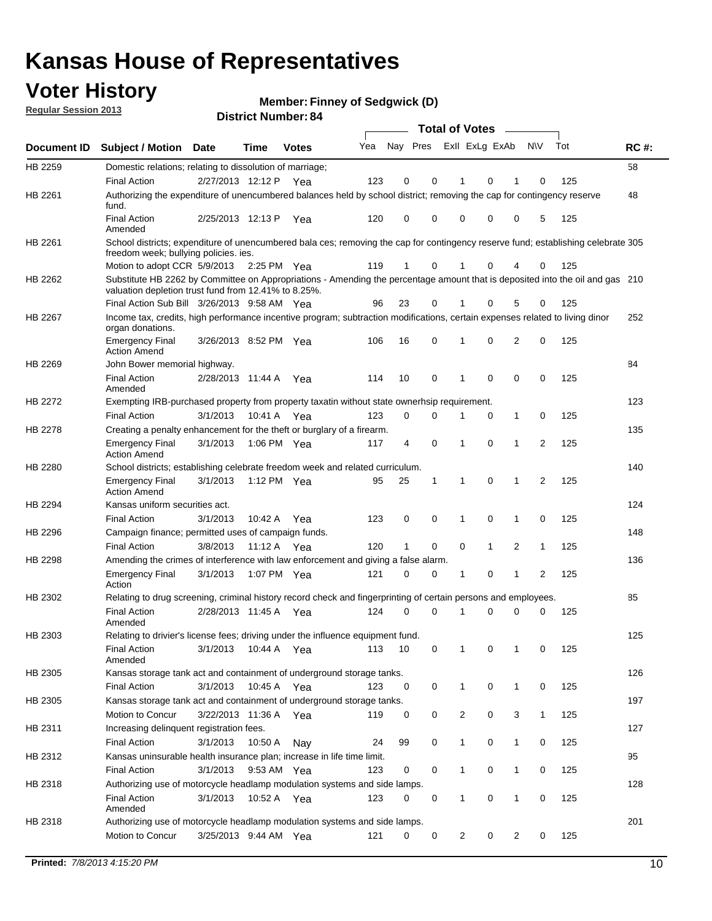## **Voter History**

**Member: Finney of Sedgwick (D)** 

**Regular Session 2013**

|                |                                                                                                                                                                                       |                       |             |              |     |                         |   | <b>Total of Votes</b> |              | $\sim$         |                |     |             |
|----------------|---------------------------------------------------------------------------------------------------------------------------------------------------------------------------------------|-----------------------|-------------|--------------|-----|-------------------------|---|-----------------------|--------------|----------------|----------------|-----|-------------|
| Document ID    | Subject / Motion Date                                                                                                                                                                 |                       | <b>Time</b> | <b>Votes</b> | Yea | Nay Pres Exll ExLg ExAb |   |                       |              |                | N\V            | Tot | <b>RC#:</b> |
| HB 2259        | Domestic relations; relating to dissolution of marriage;                                                                                                                              |                       |             |              |     |                         |   |                       |              |                |                |     | 58          |
|                | <b>Final Action</b>                                                                                                                                                                   | 2/27/2013 12:12 P Yea |             |              | 123 | 0                       | 0 | 1                     | 0            | 1              | 0              | 125 |             |
| HB 2261        | Authorizing the expenditure of unencumbered balances held by school district; removing the cap for contingency reserve<br>fund.                                                       |                       |             |              |     |                         |   |                       |              |                |                |     | 48          |
|                | <b>Final Action</b><br>Amended                                                                                                                                                        | 2/25/2013 12:13 P     |             | Yea          | 120 | 0                       | 0 | 0                     | 0            | 0              | 5              | 125 |             |
| HB 2261        | School districts; expenditure of unencumbered bala ces; removing the cap for contingency reserve fund; establishing celebrate 305<br>freedom week; bullying policies. ies.            |                       |             |              |     |                         |   |                       |              |                |                |     |             |
|                | Motion to adopt CCR 5/9/2013                                                                                                                                                          |                       | 2:25 PM Yea |              | 119 | $\mathbf 1$             | 0 | 1                     | 0            | 4              | 0              | 125 |             |
| HB 2262        | Substitute HB 2262 by Committee on Appropriations - Amending the percentage amount that is deposited into the oil and gas 210<br>valuation depletion trust fund from 12.41% to 8.25%. |                       |             |              |     |                         |   |                       |              |                |                |     |             |
|                | Final Action Sub Bill 3/26/2013 9:58 AM Yea                                                                                                                                           |                       |             |              | 96  | 23                      | 0 |                       | 0            | 5              | 0              | 125 |             |
| HB 2267        | Income tax, credits, high performance incentive program; subtraction modifications, certain expenses related to living dinor<br>organ donations.                                      |                       |             |              |     |                         |   |                       |              |                |                |     | 252         |
|                | <b>Emergency Final</b><br><b>Action Amend</b>                                                                                                                                         | 3/26/2013 8:52 PM Yea |             |              | 106 | 16                      | 0 | 1                     | 0            | $\overline{2}$ | 0              | 125 |             |
| HB 2269        | John Bower memorial highway.                                                                                                                                                          |                       |             |              |     |                         |   |                       |              |                |                |     | 84          |
|                | <b>Final Action</b><br>Amended                                                                                                                                                        | 2/28/2013 11:44 A     |             | Yea          | 114 | 10                      | 0 | 1                     | 0            | $\mathbf 0$    | 0              | 125 |             |
| HB 2272        | Exempting IRB-purchased property from property taxatin without state ownerhsip requirement.                                                                                           |                       |             |              |     |                         |   |                       |              |                |                |     | 123         |
|                | <b>Final Action</b>                                                                                                                                                                   | 3/1/2013              | 10:41 A     | Yea          | 123 | 0                       | 0 | 1                     | 0            | 1              | 0              | 125 |             |
| <b>HB 2278</b> | Creating a penalty enhancement for the theft or burglary of a firearm.                                                                                                                |                       |             |              |     |                         |   |                       |              |                |                |     | 135         |
|                | <b>Emergency Final</b><br><b>Action Amend</b>                                                                                                                                         | 3/1/2013              | 1:06 PM Yea |              | 117 | 4                       | 0 | 1                     | 0            | $\mathbf{1}$   | $\overline{2}$ | 125 |             |
| HB 2280        | School districts; establishing celebrate freedom week and related curriculum.                                                                                                         |                       |             |              |     |                         |   |                       |              |                |                |     | 140         |
|                | <b>Emergency Final</b><br><b>Action Amend</b>                                                                                                                                         | 3/1/2013              | 1:12 PM Yea |              | 95  | 25                      | 1 | 1                     | 0            | 1              | 2              | 125 |             |
| HB 2294        | Kansas uniform securities act.                                                                                                                                                        |                       |             |              |     |                         |   |                       |              |                |                |     | 124         |
|                | <b>Final Action</b>                                                                                                                                                                   | 3/1/2013              | 10:42 A Yea |              | 123 | 0                       | 0 | 1                     | 0            | 1              | 0              | 125 |             |
| HB 2296        | Campaign finance; permitted uses of campaign funds.                                                                                                                                   |                       |             |              |     |                         |   |                       |              |                |                |     | 148         |
|                | <b>Final Action</b>                                                                                                                                                                   | 3/8/2013              | 11:12 A Yea |              | 120 | $\mathbf{1}$            | 0 | 0                     | $\mathbf{1}$ | 2              | $\mathbf{1}$   | 125 |             |
| HB 2298        | Amending the crimes of interference with law enforcement and giving a false alarm.                                                                                                    |                       |             |              |     |                         |   |                       |              |                |                |     | 136         |
|                | <b>Emergency Final</b><br>Action                                                                                                                                                      | 3/1/2013              | 1:07 PM Yea |              | 121 | 0                       | 0 | 1                     | 0            | 1              | 2              | 125 |             |
| HB 2302        | Relating to drug screening, criminal history record check and fingerprinting of certain persons and employees.                                                                        |                       |             |              |     |                         |   |                       |              |                |                |     | 85          |
|                | <b>Final Action</b><br>Amended                                                                                                                                                        | 2/28/2013 11:45 A     |             | Yea          | 124 | 0                       | 0 | 1                     | 0            | 0              | 0              | 125 |             |
| HB 2303        | Relating to drivier's license fees; driving under the influence equipment fund.                                                                                                       |                       |             |              |     |                         |   |                       |              |                |                |     | 125         |
|                | <b>Final Action</b><br>Amended                                                                                                                                                        | 3/1/2013              | 10:44 A     | Yea          | 113 | 10                      | 0 |                       | 0            |                | 0              | 125 |             |
| HB 2305        | Kansas storage tank act and containment of underground storage tanks.                                                                                                                 |                       |             |              |     |                         |   |                       |              |                |                |     | 126         |
|                | <b>Final Action</b>                                                                                                                                                                   | 3/1/2013              | 10:45 A     | Yea          | 123 | 0                       | 0 | 1                     | 0            | $\mathbf{1}$   | 0              | 125 |             |
| HB 2305        | Kansas storage tank act and containment of underground storage tanks.                                                                                                                 |                       |             |              |     |                         |   |                       |              |                |                |     | 197         |
|                | Motion to Concur                                                                                                                                                                      | 3/22/2013 11:36 A     |             | Yea          | 119 | 0                       | 0 | 2                     | 0            | 3              | 1              | 125 |             |
| HB 2311        | Increasing delinquent registration fees.                                                                                                                                              |                       |             |              |     |                         |   |                       |              |                |                |     | 127         |
|                | <b>Final Action</b>                                                                                                                                                                   | 3/1/2013              | 10:50 A     | Nay          | 24  | 99                      | 0 | $\mathbf{1}$          | 0            | 1              | 0              | 125 |             |
| HB 2312        | Kansas uninsurable health insurance plan; increase in life time limit.                                                                                                                |                       |             |              |     |                         |   |                       |              |                |                |     | 95          |
|                | <b>Final Action</b>                                                                                                                                                                   | 3/1/2013              | 9:53 AM Yea |              | 123 | 0                       | 0 | $\mathbf{1}$          | 0            | 1              | 0              | 125 |             |
| HB 2318        | Authorizing use of motorcycle headlamp modulation systems and side lamps.                                                                                                             |                       |             |              |     |                         |   |                       |              |                |                |     | 128         |
|                | <b>Final Action</b><br>Amended                                                                                                                                                        | 3/1/2013              | 10:52 A Yea |              | 123 | 0                       | 0 | 1                     | 0            | 1              | 0              | 125 |             |
| HB 2318        | Authorizing use of motorcycle headlamp modulation systems and side lamps.                                                                                                             |                       |             |              |     |                         |   |                       |              |                |                |     | 201         |
|                | Motion to Concur                                                                                                                                                                      | 3/25/2013 9:44 AM Yea |             |              | 121 | 0                       | 0 | $\overline{c}$        | 0            | 2              | 0              | 125 |             |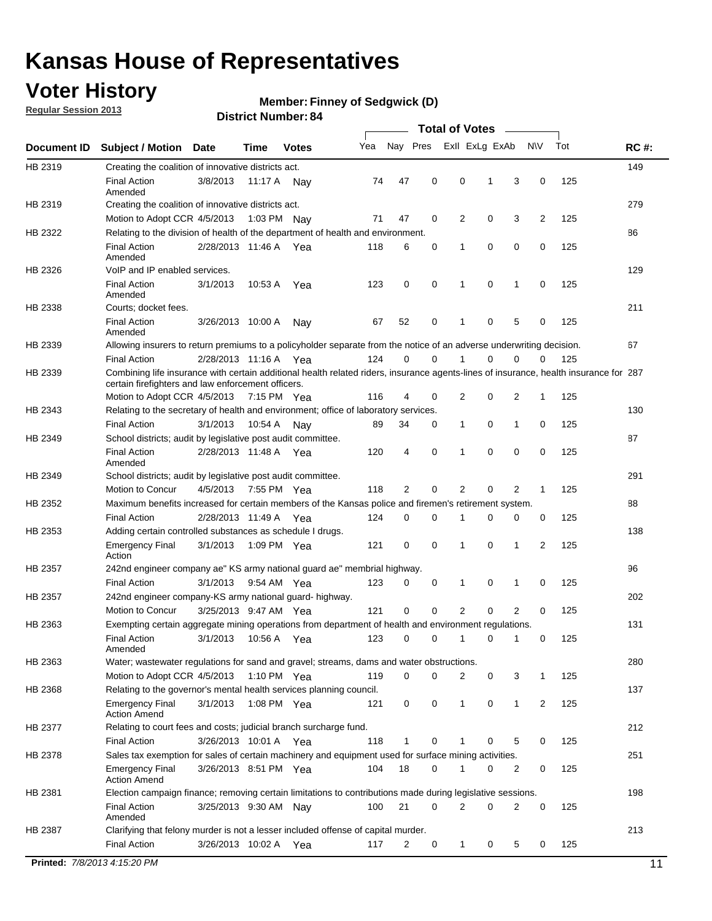## **Voter History**

**Regular Session 2013**

#### **Member: Finney of Sedgwick (D)**

|             |                                                                                                                                                                                             |                       |             |              |     |             |             | <b>Total of Votes</b> |   |                |           |     |             |
|-------------|---------------------------------------------------------------------------------------------------------------------------------------------------------------------------------------------|-----------------------|-------------|--------------|-----|-------------|-------------|-----------------------|---|----------------|-----------|-----|-------------|
| Document ID | <b>Subject / Motion</b>                                                                                                                                                                     | Date                  | Time        | <b>Votes</b> | Yea | Nay Pres    |             | Exll ExLg ExAb        |   |                | <b>NV</b> | Tot | <b>RC#:</b> |
| HB 2319     | Creating the coalition of innovative districts act.                                                                                                                                         |                       |             |              |     |             |             |                       |   |                |           |     | 149         |
|             | <b>Final Action</b><br>Amended                                                                                                                                                              | 3/8/2013              | 11:17 A     | Nav          | 74  | 47          | 0           | 0                     | 1 | 3              | 0         | 125 |             |
| HB 2319     | Creating the coalition of innovative districts act.                                                                                                                                         |                       |             |              |     |             |             |                       |   |                |           |     | 279         |
|             | Motion to Adopt CCR 4/5/2013                                                                                                                                                                |                       | 1:03 PM Nay |              | 71  | 47          | 0           | 2                     | 0 | 3              | 2         | 125 |             |
| HB 2322     | Relating to the division of health of the department of health and environment.                                                                                                             |                       |             |              |     |             |             |                       |   |                |           |     | 86          |
|             | <b>Final Action</b><br>Amended                                                                                                                                                              | 2/28/2013 11:46 A Yea |             |              | 118 | 6           | 0           | 1                     | 0 | 0              | 0         | 125 |             |
| HB 2326     | VoIP and IP enabled services.                                                                                                                                                               |                       |             |              |     |             |             |                       |   |                |           |     | 129         |
|             | <b>Final Action</b><br>Amended                                                                                                                                                              | 3/1/2013              | 10:53 A     | Yea          | 123 | 0           | 0           | $\mathbf{1}$          | 0 | 1              | 0         | 125 |             |
| HB 2338     | Courts; docket fees.                                                                                                                                                                        |                       |             |              |     |             |             |                       |   |                |           |     | 211         |
|             | <b>Final Action</b><br>Amended                                                                                                                                                              | 3/26/2013 10:00 A     |             | Nav          | 67  | 52          | 0           | 1                     | 0 | 5              | 0         | 125 |             |
| HB 2339     | Allowing insurers to return premiums to a policyholder separate from the notice of an adverse underwriting decision.                                                                        |                       |             |              |     |             |             |                       |   |                |           |     | 67          |
|             | <b>Final Action</b>                                                                                                                                                                         | 2/28/2013 11:16 A Yea |             |              | 124 | 0           | 0           |                       | 0 | 0              | 0         | 125 |             |
| HB 2339     | Combining life insurance with certain additional health related riders, insurance agents-lines of insurance, health insurance for 287<br>certain firefighters and law enforcement officers. |                       |             |              |     |             |             |                       |   |                |           |     |             |
|             | Motion to Adopt CCR 4/5/2013 7:15 PM Yea                                                                                                                                                    |                       |             |              | 116 | 4           | 0           | 2                     | 0 | 2              | -1        | 125 |             |
| HB 2343     | Relating to the secretary of health and environment; office of laboratory services.                                                                                                         |                       |             |              |     |             |             |                       |   |                |           |     | 130         |
|             | <b>Final Action</b>                                                                                                                                                                         | 3/1/2013              | 10:54 A     | Nav          | 89  | 34          | 0           | 1                     | 0 | 1              | 0         | 125 |             |
| HB 2349     | School districts; audit by legislative post audit committee.                                                                                                                                |                       |             |              |     |             |             |                       |   |                |           |     | 87          |
|             | <b>Final Action</b><br>Amended                                                                                                                                                              | 2/28/2013 11:48 A Yea |             |              | 120 | 4           | $\mathbf 0$ | 1                     | 0 | 0              | 0         | 125 |             |
| HB 2349     | School districts; audit by legislative post audit committee.                                                                                                                                |                       |             |              |     |             |             |                       |   |                |           |     | 291         |
|             | Motion to Concur                                                                                                                                                                            | 4/5/2013              | 7:55 PM Yea |              | 118 | 2           | $\mathbf 0$ | 2                     | 0 | 2              | 1         | 125 |             |
| HB 2352     | Maximum benefits increased for certain members of the Kansas police and firemen's retirement system.                                                                                        |                       |             |              |     |             |             |                       |   |                |           |     | 88          |
|             | <b>Final Action</b>                                                                                                                                                                         | 2/28/2013 11:49 A     |             | Yea          | 124 | 0           | 0           | 1                     | 0 | 0              | 0         | 125 |             |
| HB 2353     | Adding certain controlled substances as schedule I drugs.                                                                                                                                   |                       |             |              |     |             |             |                       |   |                |           |     | 138         |
|             | <b>Emergency Final</b><br>Action                                                                                                                                                            | 3/1/2013              | 1:09 PM Yea |              | 121 | 0           | 0           | 1                     | 0 | 1              | 2         | 125 |             |
| HB 2357     | 242nd engineer company ae" KS army national guard ae" membrial highway.                                                                                                                     |                       |             |              |     |             |             |                       |   |                |           |     | 96          |
|             | <b>Final Action</b>                                                                                                                                                                         | 3/1/2013              | 9:54 AM Yea |              | 123 | 0           | 0           | 1                     | 0 | 1              | 0         | 125 |             |
| HB 2357     | 242nd engineer company-KS army national guard- highway.                                                                                                                                     |                       |             |              |     |             |             |                       |   |                |           |     | 202         |
|             | Motion to Concur                                                                                                                                                                            | 3/25/2013 9:47 AM Yea |             |              | 121 | $\mathbf 0$ | $\mathbf 0$ | $\overline{2}$        | 0 | $\overline{2}$ | 0         | 125 |             |
| HB 2363     | Exempting certain aggregate mining operations from department of health and environment regulations.                                                                                        |                       |             |              |     |             |             |                       |   |                |           |     | 131         |
|             | <b>Final Action</b><br>Amended                                                                                                                                                              | 3/1/2013              | 10:56 A     | Yea          | 123 | 0           | 0           | 1                     | 0 | 1              | 0         | 125 |             |
| HB 2363     | Water; wastewater regulations for sand and gravel; streams, dams and water obstructions.                                                                                                    |                       |             |              |     |             |             |                       |   |                |           |     | 280         |
|             | Motion to Adopt CCR 4/5/2013                                                                                                                                                                |                       | 1:10 PM Yea |              | 119 | 0           | 0           | 2                     | 0 | 3              |           | 125 |             |
| HB 2368     | Relating to the governor's mental health services planning council.                                                                                                                         |                       |             |              |     |             |             |                       |   |                |           |     | 137         |
|             | Emergency Final<br><b>Action Amend</b>                                                                                                                                                      | 3/1/2013              | 1:08 PM Yea |              | 121 | 0           | 0           | $\mathbf{1}$          | 0 | 1              | 2         | 125 |             |
| HB 2377     | Relating to court fees and costs; judicial branch surcharge fund.                                                                                                                           |                       |             |              |     |             |             |                       |   |                |           |     | 212         |
|             | <b>Final Action</b>                                                                                                                                                                         | 3/26/2013 10:01 A Yea |             |              | 118 | 1           | 0           |                       | 0 | 5              | 0         | 125 |             |
| HB 2378     | Sales tax exemption for sales of certain machinery and equipment used for surface mining activities.                                                                                        |                       |             |              |     |             |             |                       |   |                |           |     | 251         |
|             | <b>Emergency Final</b><br><b>Action Amend</b>                                                                                                                                               | 3/26/2013 8:51 PM Yea |             |              | 104 | 18          | 0           | 1                     | 0 | 2              | 0         | 125 |             |
| HB 2381     | Election campaign finance; removing certain limitations to contributions made during legislative sessions.                                                                                  |                       |             |              |     |             |             |                       |   |                |           |     | 198         |
|             | <b>Final Action</b><br>Amended                                                                                                                                                              | 3/25/2013 9:30 AM Nay |             |              | 100 | 21          | 0           | 2                     | 0 | 2              | 0         | 125 |             |
| HB 2387     | Clarifying that felony murder is not a lesser included offense of capital murder.                                                                                                           |                       |             |              |     |             |             |                       |   |                |           |     | 213         |
|             | <b>Final Action</b>                                                                                                                                                                         | 3/26/2013 10:02 A     |             | Yea          | 117 | 2           | 0           | $\mathbf{1}$          | 0 | 5              | 0         | 125 |             |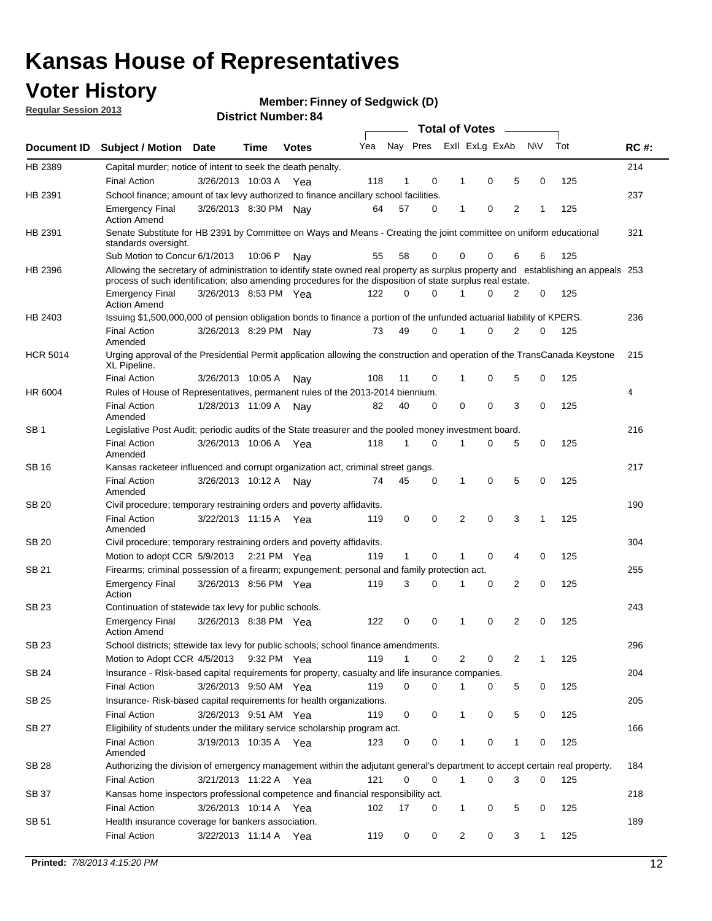## **Voter History**

**Member: Finney of Sedgwick (D)** 

**Regular Session 2013**

|                 |                                                                                                                                                                                                                                                  |                       |         |              |     |              |   | <b>Total of Votes</b> |             |   |              |     |             |
|-----------------|--------------------------------------------------------------------------------------------------------------------------------------------------------------------------------------------------------------------------------------------------|-----------------------|---------|--------------|-----|--------------|---|-----------------------|-------------|---|--------------|-----|-------------|
| Document ID     | <b>Subject / Motion</b>                                                                                                                                                                                                                          | <b>Date</b>           | Time    | <b>Votes</b> | Yea | Nay Pres     |   | Exll ExLg ExAb        |             |   | <b>NV</b>    | Tot | <b>RC#:</b> |
| HB 2389         | Capital murder; notice of intent to seek the death penalty.                                                                                                                                                                                      |                       |         |              |     |              |   |                       |             |   |              |     | 214         |
|                 | <b>Final Action</b>                                                                                                                                                                                                                              | 3/26/2013 10:03 A     |         | Yea          | 118 | 1            | 0 | 1                     | 0           | 5 | 0            | 125 |             |
| HB 2391         | School finance; amount of tax levy authorized to finance ancillary school facilities.                                                                                                                                                            |                       |         |              |     |              |   |                       |             |   |              |     | 237         |
|                 | <b>Emergency Final</b><br><b>Action Amend</b>                                                                                                                                                                                                    | 3/26/2013 8:30 PM Nay |         |              | 64  | 57           | 0 | $\mathbf{1}$          | 0           | 2 | 1            | 125 |             |
| HB 2391         | Senate Substitute for HB 2391 by Committee on Ways and Means - Creating the joint committee on uniform educational<br>standards oversight.                                                                                                       |                       |         |              |     |              |   |                       |             |   |              |     | 321         |
|                 | Sub Motion to Concur 6/1/2013                                                                                                                                                                                                                    |                       | 10:06 P | Nav          | 55  | 58           | 0 | 0                     | 0           | 6 | 6            | 125 |             |
| HB 2396         | Allowing the secretary of administration to identify state owned real property as surplus property and establishing an appeals 253<br>process of such identification; also amending procedures for the disposition of state surplus real estate. |                       |         |              |     |              |   |                       |             |   |              |     |             |
|                 | <b>Emergency Final</b><br><b>Action Amend</b>                                                                                                                                                                                                    | 3/26/2013 8:53 PM Yea |         |              | 122 | 0            | 0 | 1                     | 0           | 2 | 0            | 125 |             |
| HB 2403         | Issuing \$1,500,000,000 of pension obligation bonds to finance a portion of the unfunded actuarial liability of KPERS.                                                                                                                           |                       |         |              |     |              |   |                       |             |   |              |     | 236         |
|                 | <b>Final Action</b><br>Amended                                                                                                                                                                                                                   | 3/26/2013 8:29 PM Nay |         |              | 73  | 49           | 0 | 1                     | 0           | 2 | 0            | 125 |             |
| <b>HCR 5014</b> | Urging approval of the Presidential Permit application allowing the construction and operation of the TransCanada Keystone<br>XL Pipeline.                                                                                                       |                       |         |              |     |              |   |                       |             |   |              |     | 215         |
|                 | <b>Final Action</b>                                                                                                                                                                                                                              | 3/26/2013 10:05 A     |         | Nay          | 108 | 11           | 0 |                       | 0           | 5 | 0            | 125 |             |
| HR 6004         | Rules of House of Representatives, permanent rules of the 2013-2014 biennium.                                                                                                                                                                    |                       |         |              |     |              |   |                       |             |   |              |     | 4           |
|                 | <b>Final Action</b><br>Amended                                                                                                                                                                                                                   | 1/28/2013 11:09 A     |         | Nav          | 82  | 40           | 0 | 0                     | 0           | 3 | 0            | 125 |             |
| SB 1            | Legislative Post Audit; periodic audits of the State treasurer and the pooled money investment board.                                                                                                                                            |                       |         |              |     |              |   |                       |             |   |              |     | 216         |
|                 | <b>Final Action</b><br>Amended                                                                                                                                                                                                                   | 3/26/2013 10:06 A     |         | Yea          | 118 | $\mathbf{1}$ | 0 | 1                     | 0           | 5 | 0            | 125 |             |
| SB 16           | Kansas racketeer influenced and corrupt organization act, criminal street gangs.                                                                                                                                                                 |                       |         |              |     |              |   |                       |             |   |              |     | 217         |
|                 | <b>Final Action</b><br>Amended                                                                                                                                                                                                                   | 3/26/2013 10:12 A Nay |         |              | 74  | 45           | 0 | 1                     | $\mathbf 0$ | 5 | 0            | 125 |             |
| SB 20           | Civil procedure; temporary restraining orders and poverty affidavits.                                                                                                                                                                            |                       |         |              |     |              |   |                       |             |   |              |     | 190         |
|                 | <b>Final Action</b><br>Amended                                                                                                                                                                                                                   | 3/22/2013 11:15 A     |         | Yea          | 119 | 0            | 0 | 2                     | 0           | 3 | $\mathbf{1}$ | 125 |             |
| <b>SB 20</b>    | Civil procedure; temporary restraining orders and poverty affidavits.                                                                                                                                                                            |                       |         |              |     |              |   |                       |             |   |              |     | 304         |
|                 | Motion to adopt CCR 5/9/2013 2:21 PM Yea                                                                                                                                                                                                         |                       |         |              | 119 | 1            | 0 | 1                     | 0           | 4 | 0            | 125 |             |
| SB 21           | Firearms; criminal possession of a firearm; expungement; personal and family protection act.                                                                                                                                                     |                       |         |              |     |              |   |                       |             |   |              |     | 255         |
|                 | <b>Emergency Final</b><br>Action                                                                                                                                                                                                                 | 3/26/2013 8:56 PM Yea |         |              | 119 | 3            | 0 | 1                     | 0           | 2 | 0            | 125 |             |
| SB 23           | Continuation of statewide tax levy for public schools.                                                                                                                                                                                           |                       |         |              |     |              |   |                       |             |   |              |     | 243         |
|                 | <b>Emergency Final</b><br><b>Action Amend</b>                                                                                                                                                                                                    | 3/26/2013 8:38 PM Yea |         |              | 122 | 0            | 0 | 1                     | 0           | 2 | 0            | 125 |             |
| <b>SB 23</b>    | School districts; sttewide tax levy for public schools; school finance amendments.                                                                                                                                                               |                       |         |              |     |              |   |                       |             |   |              |     | 296         |
|                 | Motion to Adopt CCR 4/5/2013 9:32 PM Yea                                                                                                                                                                                                         |                       |         |              | 119 | $\mathbf{1}$ | 0 | 2                     | 0           | 2 | 1            | 125 |             |
| <b>SB 24</b>    | Insurance - Risk-based capital requirements for property, casualty and life insurance companies.                                                                                                                                                 |                       |         |              |     |              |   |                       |             |   |              |     | 204         |
|                 | <b>Final Action</b>                                                                                                                                                                                                                              | 3/26/2013 9:50 AM Yea |         |              | 119 | 0            | 0 | 1                     | 0           | 5 | 0            | 125 |             |
| SB 25           | Insurance-Risk-based capital requirements for health organizations.                                                                                                                                                                              |                       |         |              |     |              |   |                       |             |   |              |     | 205         |
|                 | <b>Final Action</b>                                                                                                                                                                                                                              | 3/26/2013 9:51 AM Yea |         |              | 119 | 0            | 0 | 1                     | 0           | 5 | 0            | 125 |             |
| SB 27           | Eligibility of students under the military service scholarship program act.                                                                                                                                                                      |                       |         |              |     |              |   |                       |             |   |              |     | 166         |
|                 | <b>Final Action</b><br>Amended                                                                                                                                                                                                                   | 3/19/2013 10:35 A Yea |         |              | 123 | 0            | 0 |                       | 0           | 1 | 0            | 125 |             |
| SB 28           | Authorizing the division of emergency management within the adjutant general's department to accept certain real property.                                                                                                                       |                       |         |              |     |              |   |                       |             |   |              |     | 184         |
|                 | <b>Final Action</b>                                                                                                                                                                                                                              | 3/21/2013 11:22 A Yea |         |              | 121 | $\Omega$     | 0 | 1                     | 0           | 3 | $\Omega$     | 125 |             |
| SB 37           | Kansas home inspectors professional competence and financial responsibility act.                                                                                                                                                                 |                       |         |              |     |              |   |                       |             |   |              |     | 218         |
|                 | <b>Final Action</b>                                                                                                                                                                                                                              | 3/26/2013 10:14 A Yea |         |              | 102 | 17           | 0 | 1                     | 0           | 5 | 0            | 125 |             |
| SB 51           | Health insurance coverage for bankers association.                                                                                                                                                                                               |                       |         |              |     |              |   |                       |             |   |              |     | 189         |
|                 | <b>Final Action</b>                                                                                                                                                                                                                              | 3/22/2013 11:14 A Yea |         |              | 119 | 0            | 0 | $\overline{2}$        | 0           | 3 | $\mathbf{1}$ | 125 |             |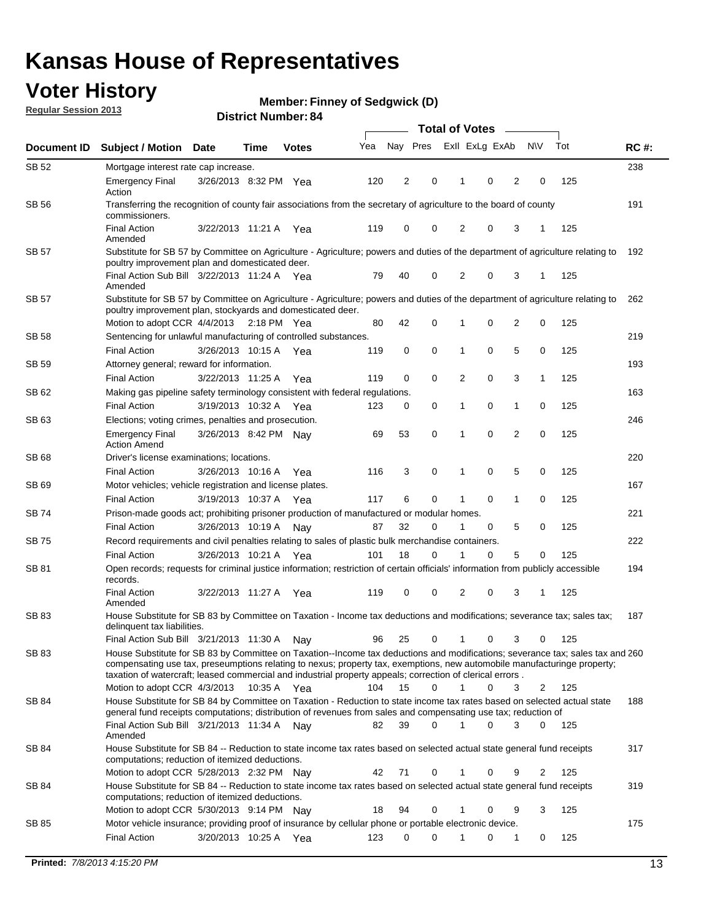## **Voter History**

**Member: Finney of Sedgwick (D)** 

**Regular Session 2013**

| Document ID  |                                                                                                                                                                                                                                            |                       |               |              |     | <b>Total of Votes</b> |             |                |   |                |              |     |             |
|--------------|--------------------------------------------------------------------------------------------------------------------------------------------------------------------------------------------------------------------------------------------|-----------------------|---------------|--------------|-----|-----------------------|-------------|----------------|---|----------------|--------------|-----|-------------|
|              | <b>Subject / Motion Date</b>                                                                                                                                                                                                               |                       | Time          | <b>Votes</b> | Yea | Nay Pres              |             | Exll ExLg ExAb |   |                | <b>NV</b>    | Tot | <b>RC#:</b> |
| SB 52        | Mortgage interest rate cap increase.                                                                                                                                                                                                       |                       |               |              |     |                       |             |                |   |                |              |     | 238         |
|              | <b>Emergency Final</b><br>Action                                                                                                                                                                                                           | 3/26/2013 8:32 PM Yea |               |              | 120 | 2                     | 0           | 1              | 0 | 2              | 0            | 125 |             |
| SB 56        | Transferring the recognition of county fair associations from the secretary of agriculture to the board of county<br>commissioners.                                                                                                        |                       |               |              |     |                       |             |                |   |                |              |     | 191         |
|              | <b>Final Action</b><br>Amended                                                                                                                                                                                                             | 3/22/2013 11:21 A     |               | Yea          | 119 | 0                     | 0           | 2              | 0 | 3              |              | 125 |             |
| <b>SB 57</b> | Substitute for SB 57 by Committee on Agriculture - Agriculture; powers and duties of the department of agriculture relating to<br>poultry improvement plan and domesticated deer.                                                          |                       |               |              |     |                       |             |                |   |                |              |     | 192         |
|              | Final Action Sub Bill 3/22/2013 11:24 A Yea<br>Amended                                                                                                                                                                                     |                       |               |              | 79  | 40                    | 0           | 2              | 0 | 3              | -1           | 125 |             |
| <b>SB 57</b> | Substitute for SB 57 by Committee on Agriculture - Agriculture; powers and duties of the department of agriculture relating to<br>poultry improvement plan, stockyards and domesticated deer.                                              |                       |               |              |     |                       |             |                |   |                |              |     | 262         |
|              | Motion to adopt CCR 4/4/2013                                                                                                                                                                                                               |                       | $2:18$ PM Yea |              | 80  | 42                    | 0           | 1              | 0 | 2              | 0            | 125 |             |
| SB 58        | Sentencing for unlawful manufacturing of controlled substances.                                                                                                                                                                            |                       |               |              |     |                       |             |                |   |                |              |     | 219         |
|              | <b>Final Action</b>                                                                                                                                                                                                                        | 3/26/2013 10:15 A     |               | Yea          | 119 | 0                     | $\mathbf 0$ | 1              | 0 | 5              | 0            | 125 |             |
| SB 59        | Attorney general; reward for information.                                                                                                                                                                                                  |                       |               |              |     |                       |             |                |   |                |              |     | 193         |
|              | <b>Final Action</b>                                                                                                                                                                                                                        | 3/22/2013 11:25 A     |               | Yea          | 119 | 0                     | $\mathbf 0$ | $\overline{2}$ | 0 | 3              | $\mathbf{1}$ | 125 |             |
| SB 62        | Making gas pipeline safety terminology consistent with federal regulations.                                                                                                                                                                |                       |               |              |     |                       |             |                |   |                |              |     | 163         |
|              | <b>Final Action</b>                                                                                                                                                                                                                        | 3/19/2013 10:32 A     |               | Yea          | 123 | 0                     | 0           | 1              | 0 | 1              | 0            | 125 |             |
| SB 63        | Elections; voting crimes, penalties and prosecution.                                                                                                                                                                                       |                       |               |              |     |                       |             |                |   |                |              |     | 246         |
|              | <b>Emergency Final</b><br><b>Action Amend</b>                                                                                                                                                                                              | 3/26/2013 8:42 PM Nay |               |              | 69  | 53                    | $\mathbf 0$ | 1              | 0 | $\overline{2}$ | 0            | 125 |             |
| SB 68        | Driver's license examinations; locations.                                                                                                                                                                                                  |                       |               |              |     |                       |             |                |   |                |              |     | 220         |
|              | <b>Final Action</b>                                                                                                                                                                                                                        | 3/26/2013 10:16 A     |               | Yea          | 116 | 3                     | 0           | 1              | 0 | 5              | 0            | 125 |             |
| SB 69        | Motor vehicles; vehicle registration and license plates.                                                                                                                                                                                   |                       |               |              |     |                       |             |                |   |                |              |     | 167         |
|              | <b>Final Action</b>                                                                                                                                                                                                                        | 3/19/2013 10:37 A     |               | Yea          | 117 | 6                     | 0           | 1              | 0 | 1              | 0            | 125 |             |
| SB 74        | Prison-made goods act; prohibiting prisoner production of manufactured or modular homes.                                                                                                                                                   |                       |               |              |     |                       |             |                |   |                |              |     | 221         |
|              | <b>Final Action</b>                                                                                                                                                                                                                        | 3/26/2013 10:19 A     |               | Nay          | 87  | 32                    | 0           | 1              | 0 | 5              | 0            | 125 |             |
| SB 75        | Record requirements and civil penalties relating to sales of plastic bulk merchandise containers.                                                                                                                                          |                       |               |              |     |                       |             |                |   |                |              |     | 222         |
|              | <b>Final Action</b>                                                                                                                                                                                                                        | 3/26/2013 10:21 A     |               | Yea          | 101 | 18                    | 0           | 1              | 0 | 5              | 0            | 125 |             |
| SB 81        | Open records; requests for criminal justice information; restriction of certain officials' information from publicly accessible<br>records.                                                                                                |                       |               |              |     |                       |             |                |   |                |              |     | 194         |
|              | <b>Final Action</b><br>Amended                                                                                                                                                                                                             | 3/22/2013 11:27 A     |               | Yea          | 119 | 0                     | 0           | 2              | 0 | 3              | 1            | 125 |             |
| SB 83        | House Substitute for SB 83 by Committee on Taxation - Income tax deductions and modifications; severance tax; sales tax;<br>delinquent tax liabilities.<br>Final Action Sub Bill 3/21/2013 11:30 A                                         |                       |               |              | 96  | 25                    | 0           | 1              | 0 | 3              | 0            | 125 | 187         |
| SB 83        | House Substitute for SB 83 by Committee on Taxation--Income tax deductions and modifications; severance tax; sales tax and 260                                                                                                             |                       |               | Nay          |     |                       |             |                |   |                |              |     |             |
|              | compensating use tax, preseumptions relating to nexus; property tax, exemptions, new automobile manufacturinge property;<br>taxation of watercraft; leased commercial and industrial property appeals; correction of clerical errors.      |                       |               |              |     |                       |             |                |   |                |              |     |             |
|              | Motion to adopt CCR 4/3/2013                                                                                                                                                                                                               |                       | 10:35 A Yea   |              | 104 | 15                    | $\Omega$    | $\mathbf{1}$   | 0 | 3              | 2            | 125 |             |
| SB 84        | House Substitute for SB 84 by Committee on Taxation - Reduction to state income tax rates based on selected actual state<br>general fund receipts computations; distribution of revenues from sales and compensating use tax; reduction of |                       |               |              |     |                       | $\Omega$    |                | 0 | 3              | $\Omega$     |     | 188         |
| SB 84        | Final Action Sub Bill 3/21/2013 11:34 A Nay<br>Amended<br>House Substitute for SB 84 -- Reduction to state income tax rates based on selected actual state general fund receipts                                                           |                       |               |              | 82  | 39                    |             |                |   |                |              | 125 | 317         |
|              | computations; reduction of itemized deductions.<br>Motion to adopt CCR 5/28/2013 2:32 PM Nay                                                                                                                                               |                       |               |              | 42  | 71                    | 0           |                | 0 | 9              | 2            | 125 |             |
| SB 84        | House Substitute for SB 84 -- Reduction to state income tax rates based on selected actual state general fund receipts                                                                                                                     |                       |               |              |     |                       |             |                |   |                |              |     | 319         |
|              | computations; reduction of itemized deductions.<br>Motion to adopt CCR 5/30/2013 9:14 PM Nay                                                                                                                                               |                       |               |              | 18  | 94                    | 0           | 1              | 0 | 9              | 3            | 125 |             |
| SB 85        | Motor vehicle insurance; providing proof of insurance by cellular phone or portable electronic device.                                                                                                                                     |                       |               |              |     |                       |             |                |   |                |              |     | 175         |
|              | <b>Final Action</b>                                                                                                                                                                                                                        | 3/20/2013 10:25 A Yea |               |              | 123 | 0                     | 0           |                | 0 | 1              | 0            | 125 |             |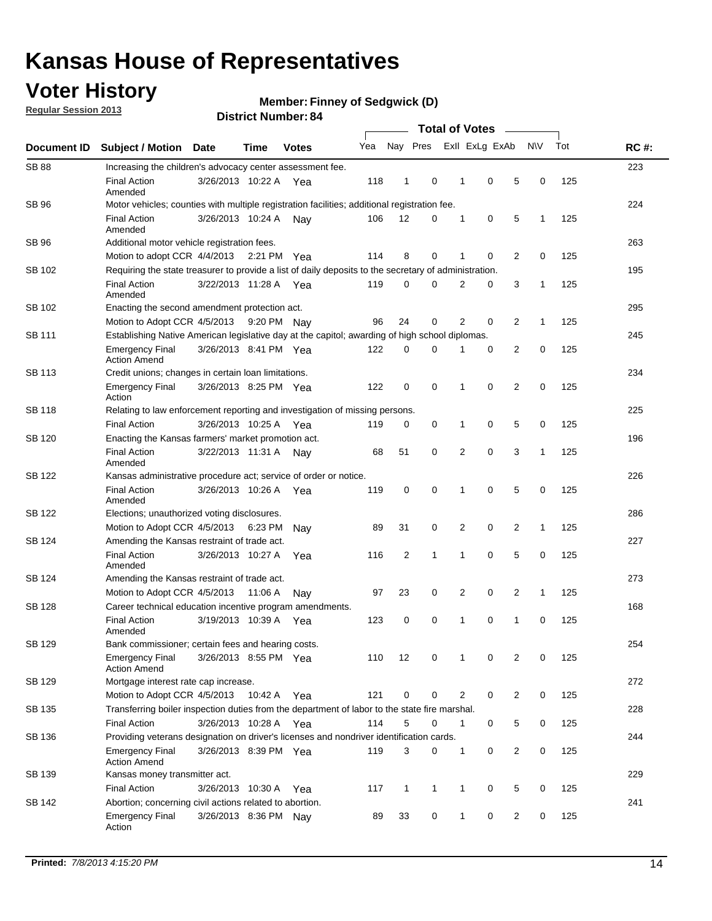## **Voter History**

**Regular Session 2013**

#### **Member: Finney of Sedgwick (D)**

|                    |                                                                                                       | DISUIGLISUIIIDGI. U   |             |              |     |              |              |                       |              |                |                |              |     |             |
|--------------------|-------------------------------------------------------------------------------------------------------|-----------------------|-------------|--------------|-----|--------------|--------------|-----------------------|--------------|----------------|----------------|--------------|-----|-------------|
| <b>Document ID</b> | <b>Subject / Motion</b>                                                                               | Date                  | <b>Time</b> | <b>Votes</b> | Yea | Nay Pres     |              | <b>Total of Votes</b> |              | Exll ExLg ExAb |                | N\V          | Tot | <b>RC#:</b> |
| <b>SB 88</b>       | Increasing the children's advocacy center assessment fee.                                             |                       |             |              |     |              |              |                       |              |                |                |              |     | 223         |
|                    | <b>Final Action</b><br>Amended                                                                        | 3/26/2013 10:22 A     |             | Yea          | 118 | $\mathbf{1}$ | 0            |                       | $\mathbf 1$  | $\mathbf 0$    | 5              | 0            | 125 |             |
| SB 96              | Motor vehicles; counties with multiple registration facilities; additional registration fee.          |                       |             |              |     |              |              |                       |              |                |                |              |     | 224         |
|                    | <b>Final Action</b><br>Amended                                                                        | 3/26/2013 10:24 A     |             | Nav          | 106 | 12           | 0            |                       | 1            | 0              | 5              | $\mathbf{1}$ | 125 |             |
| <b>SB 96</b>       | Additional motor vehicle registration fees.                                                           |                       |             |              |     |              |              |                       |              |                |                |              |     | 263         |
|                    | Motion to adopt CCR 4/4/2013                                                                          |                       | 2:21 PM Yea |              | 114 | 8            | 0            |                       | 1            | 0              | 2              | 0            | 125 |             |
| SB 102             | Requiring the state treasurer to provide a list of daily deposits to the secretary of administration. |                       |             |              |     |              |              |                       |              |                |                |              |     | 195         |
|                    | <b>Final Action</b><br>Amended                                                                        | 3/22/2013 11:28 A     |             | Yea          | 119 | 0            | 0            |                       | 2            | 0              | 3              | 1            | 125 |             |
| SB 102             | Enacting the second amendment protection act.                                                         |                       |             |              |     |              |              |                       |              |                |                |              |     | 295         |
|                    | Motion to Adopt CCR 4/5/2013                                                                          |                       | 9:20 PM Nav |              | 96  | 24           | 0            |                       | 2            | 0              | $\overline{2}$ | $\mathbf{1}$ | 125 |             |
| SB 111             | Establishing Native American legislative day at the capitol; awarding of high school diplomas.        |                       |             |              |     |              |              |                       |              |                |                |              |     | 245         |
|                    | <b>Emergency Final</b><br><b>Action Amend</b>                                                         | 3/26/2013 8:41 PM Yea |             |              | 122 | 0            | $\Omega$     |                       |              | 0              | $\overline{2}$ | 0            | 125 |             |
| <b>SB 113</b>      | Credit unions; changes in certain loan limitations.                                                   |                       |             |              |     |              |              |                       |              |                |                |              |     | 234         |
|                    | <b>Emergency Final</b><br>Action                                                                      | 3/26/2013 8:25 PM Yea |             |              | 122 | 0            | 0            |                       | 1            | $\mathbf 0$    | $\overline{2}$ | $\mathbf 0$  | 125 |             |
| <b>SB 118</b>      | Relating to law enforcement reporting and investigation of missing persons.                           |                       |             |              |     |              |              |                       |              |                |                |              |     | 225         |
|                    | <b>Final Action</b>                                                                                   | 3/26/2013 10:25 A     |             | Yea          | 119 | 0            | 0            |                       | 1            | 0              | 5              | 0            | 125 |             |
| SB 120             | Enacting the Kansas farmers' market promotion act.                                                    |                       |             |              |     |              |              |                       |              |                |                |              |     | 196         |
|                    | <b>Final Action</b><br>Amended                                                                        | 3/22/2013 11:31 A     |             | Nav          | 68  | 51           | 0            |                       | 2            | $\mathbf 0$    | 3              | $\mathbf{1}$ | 125 |             |
| SB 122             | Kansas administrative procedure act; service of order or notice.                                      |                       |             |              |     |              |              |                       |              |                |                |              |     | 226         |
|                    | <b>Final Action</b><br>Amended                                                                        | 3/26/2013 10:26 A     |             | Yea          | 119 | 0            | 0            |                       | 1            | 0              | 5              | $\mathbf 0$  | 125 |             |
| SB 122             | Elections; unauthorized voting disclosures.                                                           |                       |             |              |     |              |              |                       |              |                |                |              |     | 286         |
|                    | Motion to Adopt CCR 4/5/2013                                                                          |                       | 6:23 PM     | Nav          | 89  | 31           | 0            |                       | 2            | 0              | $\overline{2}$ | $\mathbf{1}$ | 125 |             |
| SB 124             | Amending the Kansas restraint of trade act.                                                           |                       |             |              |     |              |              |                       |              |                |                |              |     | 227         |
|                    | <b>Final Action</b><br>Amended                                                                        | 3/26/2013 10:27 A     |             | Yea          | 116 | 2            | 1            |                       | 1            | $\mathbf 0$    | 5              | $\mathbf 0$  | 125 |             |
| SB 124             | Amending the Kansas restraint of trade act.                                                           |                       |             |              |     |              |              |                       |              |                |                |              |     | 273         |
|                    | Motion to Adopt CCR 4/5/2013                                                                          |                       | 11:06 A     | Nay          | 97  | 23           | 0            |                       | 2            | $\mathbf 0$    | $\overline{2}$ | 1            | 125 |             |
| SB 128             | Career technical education incentive program amendments.                                              |                       |             |              |     |              |              |                       |              |                |                |              |     | 168         |
|                    | <b>Final Action</b><br>Amended                                                                        | 3/19/2013 10:39 A     |             | Yea          | 123 | 0            | 0            |                       | 1            | $\mathbf 0$    | 1              | $\mathbf 0$  | 125 |             |
| SB 129             | Bank commissioner; certain fees and hearing costs.                                                    |                       |             |              |     |              |              |                       |              |                |                |              |     | 254         |
|                    | <b>Emergency Final</b><br><b>Action Amend</b>                                                         | 3/26/2013 8:55 PM Yea |             |              | 110 | 12           | 0            |                       | 1            | 0              | 2              | 0            | 125 |             |
| SB 129             | Mortgage interest rate cap increase.                                                                  |                       |             |              |     |              |              |                       |              |                |                |              |     | 272         |
|                    | Motion to Adopt CCR 4/5/2013 10:42 A Yea                                                              |                       |             |              | 121 | 0            | 0            |                       | 2            | 0              | 2              | 0            | 125 |             |
| SB 135             | Transferring boiler inspection duties from the department of labor to the state fire marshal.         |                       |             |              |     |              |              |                       |              |                |                |              |     | 228         |
|                    | <b>Final Action</b>                                                                                   | 3/26/2013 10:28 A Yea |             |              | 114 | 5            | 0            |                       | $\mathbf{1}$ | 0              | 5              | 0            | 125 |             |
| SB 136             | Providing veterans designation on driver's licenses and nondriver identification cards.               |                       |             |              |     |              |              |                       |              |                |                |              |     | 244         |
|                    | <b>Emergency Final</b><br><b>Action Amend</b>                                                         | 3/26/2013 8:39 PM Yea |             |              | 119 | 3            | 0            |                       | 1            | 0              | 2              | 0            | 125 |             |
| SB 139             | Kansas money transmitter act.                                                                         |                       |             |              |     |              |              |                       |              |                |                |              |     | 229         |
|                    | <b>Final Action</b>                                                                                   | 3/26/2013 10:30 A     |             | Yea          | 117 | $\mathbf{1}$ | $\mathbf{1}$ |                       | $\mathbf{1}$ | 0              | 5              | 0            | 125 |             |
| SB 142             | Abortion; concerning civil actions related to abortion.                                               |                       |             |              |     |              |              |                       |              |                |                |              |     | 241         |
|                    | <b>Emergency Final</b><br>Action                                                                      | 3/26/2013 8:36 PM Nay |             |              | 89  | 33           | 0            |                       | $\mathbf{1}$ | 0              | 2              | 0            | 125 |             |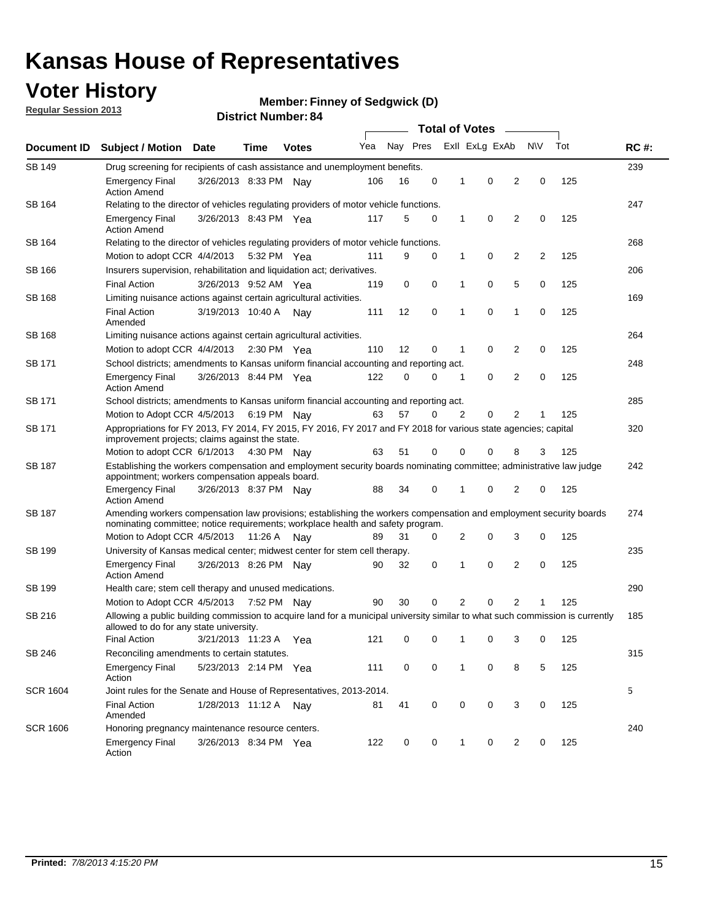## **Voter History**

**Member: Finney of Sedgwick (D)** 

**Regular Session 2013**

| Document ID     |                                                                                                                                                                                                       |                       |      |                       | <b>Total of Votes</b> |          |   |              |                |   |           |     |             |
|-----------------|-------------------------------------------------------------------------------------------------------------------------------------------------------------------------------------------------------|-----------------------|------|-----------------------|-----------------------|----------|---|--------------|----------------|---|-----------|-----|-------------|
|                 | <b>Subject / Motion Date</b>                                                                                                                                                                          |                       | Time | <b>Votes</b>          | Yea                   | Nay Pres |   |              | Exll ExLg ExAb |   | <b>NV</b> | Tot | <b>RC#:</b> |
| <b>SB 149</b>   | Drug screening for recipients of cash assistance and unemployment benefits.                                                                                                                           |                       |      |                       |                       |          |   |              |                |   |           |     | 239         |
|                 | <b>Emergency Final</b><br><b>Action Amend</b>                                                                                                                                                         | 3/26/2013 8:33 PM Nav |      |                       | 106                   | 16       | 0 | 1            | 0              | 2 | 0         | 125 |             |
| SB 164          | Relating to the director of vehicles regulating providers of motor vehicle functions.                                                                                                                 |                       |      |                       |                       |          |   |              |                |   |           |     | 247         |
|                 | <b>Emergency Final</b><br><b>Action Amend</b>                                                                                                                                                         | 3/26/2013 8:43 PM Yea |      |                       | 117                   | 5        | 0 | 1            | 0              | 2 | 0         | 125 |             |
| SB 164          | Relating to the director of vehicles regulating providers of motor vehicle functions.                                                                                                                 |                       |      |                       |                       |          |   |              |                |   |           |     | 268         |
|                 | Motion to adopt CCR 4/4/2013 5:32 PM Yea                                                                                                                                                              |                       |      |                       | 111                   | 9        | 0 | $\mathbf{1}$ | 0              | 2 | 2         | 125 |             |
| <b>SB 166</b>   | Insurers supervision, rehabilitation and liquidation act; derivatives.                                                                                                                                |                       |      |                       |                       |          |   |              |                |   |           |     | 206         |
|                 | <b>Final Action</b>                                                                                                                                                                                   | 3/26/2013 9:52 AM Yea |      |                       | 119                   | 0        | 0 | 1            | 0              | 5 | 0         | 125 |             |
| SB 168          | Limiting nuisance actions against certain agricultural activities.                                                                                                                                    |                       |      |                       |                       |          |   |              |                |   |           |     | 169         |
|                 | <b>Final Action</b><br>Amended                                                                                                                                                                        | 3/19/2013 10:40 A Nay |      |                       | 111                   | 12       | 0 | 1            | 0              | 1 | 0         | 125 |             |
| SB 168          | Limiting nuisance actions against certain agricultural activities.                                                                                                                                    |                       |      |                       |                       |          |   |              |                |   |           |     | 264         |
|                 | Motion to adopt CCR 4/4/2013                                                                                                                                                                          |                       |      | $2:30 \text{ PM}$ Yea | 110                   | 12       | 0 | 1            | 0              | 2 | 0         | 125 |             |
| SB 171          | School districts; amendments to Kansas uniform financial accounting and reporting act.                                                                                                                |                       |      |                       |                       |          |   |              |                |   |           |     | 248         |
|                 | <b>Emergency Final</b><br><b>Action Amend</b>                                                                                                                                                         | 3/26/2013 8:44 PM Yea |      |                       | 122                   | 0        | 0 | 1            | 0              | 2 | 0         | 125 |             |
| SB 171          | School districts; amendments to Kansas uniform financial accounting and reporting act.                                                                                                                |                       |      |                       |                       |          |   |              |                |   |           |     | 285         |
|                 | Motion to Adopt CCR 4/5/2013 6:19 PM Nav                                                                                                                                                              |                       |      |                       | 63                    | 57       | 0 | 2            | 0              | 2 |           |     |             |
| SB 171          | Appropriations for FY 2013, FY 2014, FY 2015, FY 2016, FY 2017 and FY 2018 for various state agencies; capital<br>improvement projects; claims against the state.                                     |                       |      |                       |                       |          |   |              |                |   |           |     | 320         |
|                 | Motion to adopt CCR 6/1/2013 4:30 PM Nay                                                                                                                                                              |                       |      |                       | 63                    | 51       | 0 | 0            | 0              | 8 | 3         | 125 |             |
| SB 187          | Establishing the workers compensation and employment security boards nominating committee; administrative law judge<br>appointment; workers compensation appeals board.                               |                       |      |                       |                       |          |   |              |                |   |           |     | 242         |
|                 | <b>Emergency Final</b><br><b>Action Amend</b>                                                                                                                                                         | 3/26/2013 8:37 PM Nav |      |                       | 88                    | 34       | 0 |              | 0              | 2 | 0         | 125 |             |
| SB 187          | Amending workers compensation law provisions; establishing the workers compensation and employment security boards<br>nominating committee; notice requirements; workplace health and safety program. |                       |      |                       |                       |          |   |              |                |   |           |     | 274         |
|                 | Motion to Adopt CCR 4/5/2013 11:26 A Nay                                                                                                                                                              |                       |      |                       | 89                    | 31       | 0 | 2            | 0              | 3 | 0         | 125 |             |
| SB 199          | University of Kansas medical center; midwest center for stem cell therapy.                                                                                                                            |                       |      |                       |                       |          |   |              |                |   |           |     | 235         |
|                 | Emergency Final<br><b>Action Amend</b>                                                                                                                                                                | 3/26/2013 8:26 PM Nav |      |                       | 90                    | 32       | 0 | 1            | 0              | 2 | 0         | 125 |             |
| SB 199          | Health care; stem cell therapy and unused medications.                                                                                                                                                |                       |      |                       |                       |          |   |              |                |   |           |     | 290         |
|                 | Motion to Adopt CCR 4/5/2013                                                                                                                                                                          |                       |      | 7:52 PM Nay           | 90                    | 30       | 0 | 2            | 0              | 2 | 1         | 125 |             |
| SB 216          | Allowing a public building commission to acquire land for a municipal university similar to what such commission is currently<br>allowed to do for any state university.                              |                       |      |                       |                       |          |   |              |                |   |           |     | 185         |
|                 | <b>Final Action</b>                                                                                                                                                                                   | 3/21/2013 11:23 A     |      | Yea                   | 121                   | 0        | 0 | 1            | 0              | 3 | 0         | 125 |             |
| SB 246          | Reconciling amendments to certain statutes.                                                                                                                                                           |                       |      |                       |                       |          |   |              |                |   |           |     | 315         |
|                 | <b>Emergency Final</b><br>Action                                                                                                                                                                      | 5/23/2013 2:14 PM Yea |      |                       | 111                   | 0        | 0 | $\mathbf 1$  | 0              | 8 | 5         | 125 |             |
| <b>SCR 1604</b> | Joint rules for the Senate and House of Representatives, 2013-2014.                                                                                                                                   |                       |      |                       |                       |          |   |              |                |   |           |     | 5           |
|                 | <b>Final Action</b><br>Amended                                                                                                                                                                        | 1/28/2013 11:12 A Nay |      |                       | 81                    | 41       | 0 | 0            | 0              | 3 | 0         | 125 |             |
| <b>SCR 1606</b> | Honoring pregnancy maintenance resource centers.                                                                                                                                                      |                       |      |                       |                       |          |   |              |                |   |           |     | 240         |
|                 | <b>Emergency Final</b><br>Action                                                                                                                                                                      | 3/26/2013 8:34 PM Yea |      |                       | 122                   | 0        | 0 | 1            | 0              | 2 | 0         | 125 |             |